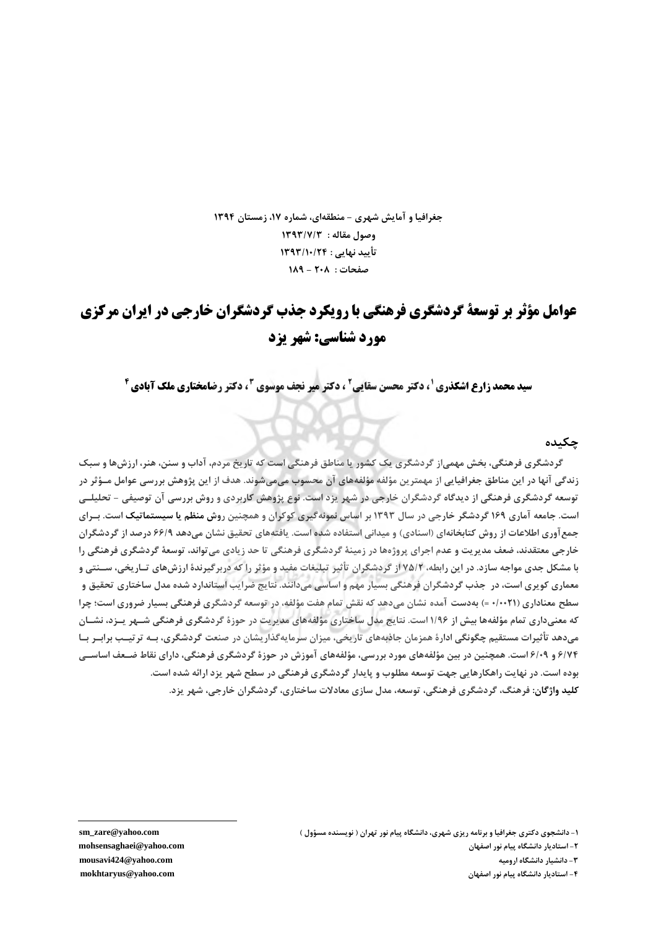جغرافیا و آمایش شهری - منطقهای، شماره ۱۷، زمستان ۱۳۹۴ وصول مقاله : ١٣٩٣/٧/٣ تأييد نهايي : ١٣٩٣/١٠/٢۴ صفحات: ٢٠٨ - ١٨٩

# عوامل مؤثر تر توسعة گردشگري فرهنگي يا رويكرد حذب گردشگران خارجي در ايران مركزي مورد شناسي: شهر یزد

**سید محمد زارع اشکذری <sup>۱</sup>، دکتر محسن سقایی<sup>2</sup> ، دکتر میر نجف موسوی <sup>3</sup> ، دکتر رضامختاری ملک آبادی <sup>6</sup>** 

#### حكىدە

گردشگری فرهنگی، بخش مهمی|ز گردشگری یک کشور یا مناطق فرهنگی است که تاریخ مردم، آداب و سنن، هنر، ارزشها و سبک زندگی آنها در این مناطق جغرافیایی از مهمترین مؤلفه مؤلفههای آن محسوب میمیشوند. هدف از این پژوهش بررسی عوامل مــؤثر در توسعه گردشگری فرهنگی از دیدگاه گردشگران خارجی در شهر یزد است. نوع پژوهش کاربردی و روش بررسی آن توصیفی – تحلیلــی است. جامعه آماری ۱۶۹ گردشگر خارجی در سال ۱۳۹۳ بر اساس نمونهگیری کوکران و همچنین روش منظم یا سیستماتیک است. بـرای جمع آوری اطلاعات از روش کتابخانهای (اسنادی) و میدانی استفاده شده است. یافتههای تحقیق نشان میدهد ۶۶/۹ درصد از گردشگران خارجی معتقدند، ضعف مدیریت و عدم اجرای پروژهها در زمینهٔ گردشگری فرهنگی تا حد زیادی می تواند، توسعهٔ گردشگری فرهنگی را با مشکل جدی مواجه سازد. در این رابطه، ۷۵/۲ از گردشگران تأثیر تبلیغات مفید و مؤثر را که دربرگیرندهٔ ارزشهای تـاریخی، سـنتی و معماری کویری است، در جذب گردشگران فرهنگی بسیار مهم و اساسی میدانند. نتایج ضرایب استاندارد شده مدل ساختاری تحقیق و سطح معناداري (١/٠٠٢١) بهدست آمده نشان مي دهد كه نقش تمام هفت مؤلفه، در توسعه گردشگري فرهنگي بسيار ضروري است؛ چرا که معنیداری تمام مؤلفهها بیش از ۱/۹۶ است. نتایج مدل ساختاری مؤلفههای مدیریت در حوزهٔ گردشگری فرهنگی شـهر پــزد، نشــان میدهد تأثیرات مستقیم چگونگی ادارهٔ همزمان جاذبههای تاریخی، میزان سرمایهگذاریشان در صنعت گردشگری، بــه ترتیــب برابــر بــا ۶/۷۴ و ۶/۰۹ است. همچنین در بین مؤلفههای مورد بررسی، مؤلفههای آموزش در حوزهٔ گردشگری فرهنگی، دارای نقاط ضـعف اساســی بوده است. در نهایت راهکارهایی جهت توسعه مطلوب و پایدار گردشگری فرهنگی در سطح شهر یزد ارائه شده است. كليد واژگان: فرهنگ، گردشگري فرهنگي، توسعه، مدل سازي معادلات ساختاري، گردشگران خارجي، شهر پزد.

sm\_zare@yahoo.com mohsensaghaei@yahoo.com mousavi424@yahoo.com mokhtaryus@yahoo.com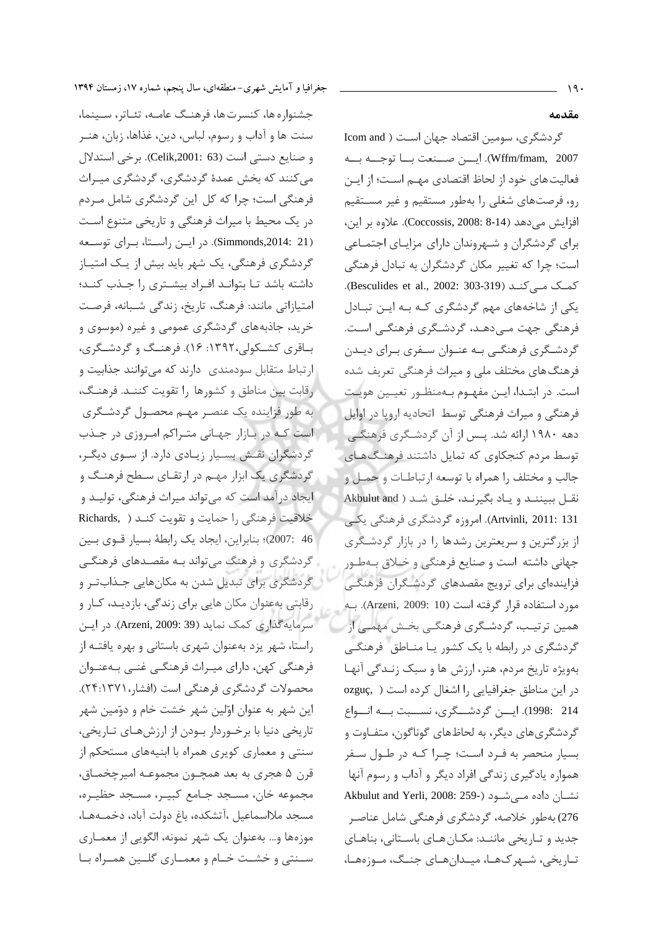جشنواره ها، كنسرت ها، فرهنگ عامـه، تئـاتر، سـينما، سنت ها و آداب و رسوم، لباس، دین، غذاها، زبان، هنـر و صنايع دستي است (Celik,2001: 63). برخي استدلال می کنند که بخش عمدهٔ گردشگری، گردشگری میـراث فرهنگی است؛ چرا که کل این گردشگری شامل مـردم در یک محیط با میراث فرهنگی و تاریخی متنوع است (Simmonds,2014: 21). در ایسن راستا، برای توسعه گردشگری فرهنگی، یک شهر باید بیش از یـک امتیـاز داشته باشد تـا بتوانـد افـراد بيشـترى را جـذب كنـد؛ امتیازاتی مانند: فرهنگ، تاریخ، زندگی شـبانه، فرصـت خرید، جاذبههای گردشگری عمومی و غیره (موسوی و باقری کشـکولی،۱۳۹۲: ۱۶). فرهنـگ و گردشـگری، ارتباط متقابل سودمندی دارند که می توانند جذابیت و رقابت بين مناطق و كشورها را تقويت كننـد. فرهنـگ، به طور فزاینده یک عنصر مهـم محصـول گردشـگری است که در بازار جهانی متراکم امروزی در جذب گردشگران نقش بسیار زیادی دارد. از سوی دیگر، گردشگری یک ابزار مهـم در ارتقـای سـطح فرهنـگ و ايجاد درآمد است كه مي تواند ميراث فرهنگي، توليـد و خلاقيت فرهنگي را حمايت و تقويت كنـد ( Richards, 46 :2007)؛ بنابراین، ایجاد یک رابطهٔ بسیار قـوی بـین گردشگری و فرهنگ می تواند بـه مقصـدهای فرهنگـی گردشگری برای تبدیل شدن به مکانهایی جـذابتـر و رقابتی بهعنوان مکان هایی برای زندگی، بازدیـد، کـار و سرمايه گذاري كمك نمايد (Arzeni, 2009: 39). در اين راستا، شهر یزد بهعنوان شهری باستانی و بهره یافتــه از فرهنگی کهن، دارای میـراث فرهنگـی غنـی بـهعنـوان محصولات گردشگری فرهنگی است (افشار،۲۴:۱۳۷۱). این شهر به عنوان اوّلین شهر خشت خام و دوّمین شهر تاریخی دنیا با برخوردار بودن از ارزشهای تـاریخی، سنتی و معماری کویری همراه با ابنیههای مستحکم از قرن ۵ هجري به بعد همچـون مجموعـه اميرچخمـاق، مجموعه خان، مسـجد جـامع كبيـر، مسـجد حظيـره، مسجد ملااسماعيل ،آتشكده، باغ دولت آباد، دخمـههـا، موزهها و… بهعنوان یک شهر نمونه، الگویی از معمــاری سـنتي وخشـت خـام و معمـاري گلـين همـراه بـا

#### مقدمه

گردشگری، سومین اقتصاد جهان است ( Icom and Wffm/fmam, 2007). ايـــن صـــنعت بـــا توجـــه بـــه فعالیت های خود از لحاظ اقتصادی مهــم اســت؛ از ایــن رو، فرصتهای شغلی را بهطور مستقیم و غیر مستقیم افزايش مى دهد (Coccossis, 2008: 8-14). علاوه بر اين، برای گردشگران و شـهروندان دارای مزایـای اجتمـاعی است؛ چرا که تغییر مکان گردشگران به تبادل فرهنگی کمک مے کند (Besculides et al., 2002: 303-319). یکی از شاخههای مهم گردشگری کـه بـه ایـن تبـادل فرهنگی جهت مـی‹هـد، گردشـگری فرهنگـی اسـت. گردشـگری فرهنگـی بـه عنـوان سـفری بـرای دیـدن فرهنگ های مختلف ملی و میراث فرهنگی تعریف شده است. در ابتـدا، ايـن مفهـوم بـهمنظـور تعيـين هويـت فرهنگی و میراث فرهنگی توسط اتحادیه اروپا در اوایل دهه ۱۹۸۰ ارائه شد. پـس از آن گردشـگری فرهنگـی توسط مردم کنجکاوی که تمایل داشتند فرهنگهای جالب و مختلف را همراه با توسعه ارتباطـات و حمـل و نقل ببيننـد وياد بگيرنـد، خلـق شـد ( Akbulut and Artvinli, 2011: 131). امروزه گردشگری فرهنگی یکبی از بزرگترین و سریعترین رشدها را در بازار گردشگری جهاني داشته است و صنايع فرهنگي و خلاق بهطور فزایندهای برای ترویج مقصدهای گردشگران فرهنگی مورد استفاده قرار گرفته است (Arzeni, 2009: 10). به همین ترتیب، گردشگری فرهنگے بخـش مهمـی از گردشگری در رابطه با یک کشور یـا منـاطق فرهنگـی بهویژه تاریخ مردم، هنر، ارزش ها و سبک زنـدگی آنهـا در این مناطق جغرافیایی را اشغال کرده است ( ,ozguç 214 :1998). ايسن گردشــگرى، نســبت بــه انــواع گردشگری های دیگر، به لحاظهای گوناگون، متفـاوت و بسیار منحصر به فـرد اسـت؛ چـرا کـه در طـول سـفر همواره یادگیری زندگی افراد دیگر و آداب و رسوم آنها Akbulut and Yerli, 2008: 259-) نشان داده مے شود 276) بەطور خلاصە، گردشگرى فرهنگى شامل عناصـر جدید و تـاریخی ماننــد: مکـان هـای باسـتانی، بناهـای تاریخی، شهرکها، میدانهای جنگ، موزهها،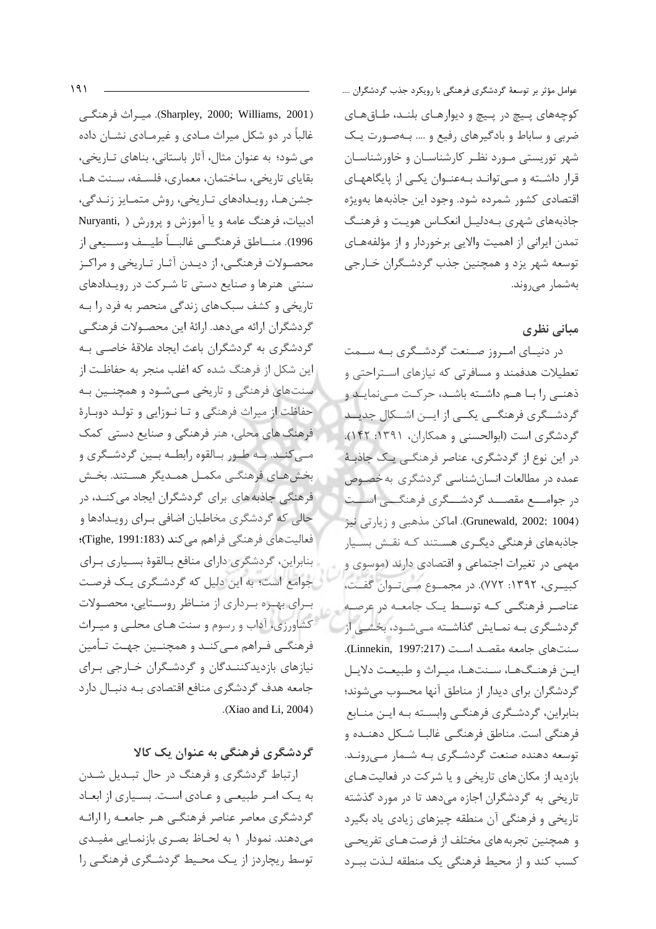(Sharpley, 2000; Williams, 2001). ميبراث فرهنگے غالباً در دو شکل میراث مـادی و غیرمـادی نشـان داده می شود؛ به عنوان مثال، آثار باستانی، بناهای تـاریخی، بقاياي تاريخي، ساختمان، معماري، فلسـفه، سـنت هـا، جشن هـا، رويـدادهاي تـاريخي، روش متمـايز زنـدگي، ادبیات، فرهنگ عامه و یا آموزش و پرورش ( Nuryanti, 1996). منـــاطق فرهنگـــي غالبـــاً طيـــف وســـيعي از محصـولات فرهنگــی، از دیــدن آثــار تــاریخی و مراکــز سنتی هنرها و صنایع دستی تا شـرکت در رویـدادهای تاریخی و کشف سبکهای زندگی منحصر به فرد را بـه گردشگران ارائه مىدهد. ارائهٔ اين محصـولات فرهنگـي گردشگری به گردشگران باعث ایجاد علاقهٔ خاصبی بـه این شکل از فرهنگ شده که اغلب منجر به حفاظت از سنتهای فرهنگی و تاریخی مـیشـود و همچنـین بـه حفاظت از میراث فرهنگی و تـا نـوزایی و تولـد دوبـارهٔ فرهنگ های محلی، هنر فرهنگی و صنایع دستی کمک مــي كنــد. بــه طــور بــالقوه رابطــه بــين گردشــگرى و بخش هـاي فرهنگــي مكمــل همــديگر هســتند. بخــش فرهنگی جاذبه های برای گردشگران ایجاد می کنـد، در حالی که گردشگری مخاطبان اضافی بـرای رویـدادها و فعالیتهای فرهنگی فراهم می کند (Tighe, 1991:183)؛ بنابراین، گردشگری دارای منافع بالقوهٔ بسیاری برای جوامع است؛ به این دلیل که گردشگری یک فرصت برای بهره برداری از مناظر روستایی، محصولات کشاورزی، آداب و رسوم و سنت هـای محلـی و میـراث فرهنگـی فـراهم مـی کنــد و همچنــین جهـت تـأمین نیازهای بازدیدکنندگان و گردشگران خارجی برای جامعه هدف گردشگری منافع اقتصادی بـه دنبـال دارد .(Xiao and Li,  $2004$ )

# گردشگری فرهنگی به عنوان یک کالا

ارتباط گردشگری و فرهنگ در حال تبدیل شدن به یک امر طبیعی و عادی است. بسیاری از ابعاد گردشگری معاصر عناصر فرهنگبی هـر جامعـه را ارائـه میدهند. نمودار ۱ به لحـاظ بصـری بازنمـایی مفیـدی توسط ریچاردز از یک محیط گردشگری فرهنگی را عوامل مؤثر بر توسعهٔ گردشگری فرهنگی با رویکرد جذب گردشگران .... کوچههای پیچ در پیچ و دیوارهای بلند، طاقهای ضربی و ساباط و بادگیرهای رفیع و .... بـهصورت یـک شهر توریستی مورد نظر کارشناسان و خاورشناسان قرار داشته و میتواند بهعنوان یکی از پایگاههای اقتصادی کشور شمرده شود. وجود این جاذبهها بهویژه جاذبههای شهری بـهدلیـل انعکـاس هویـت و فرهنـگ تمدن ایرانی از اهمیت والایی برخوردار و از مؤلفههـای توسعه شهر یزد و همچنین جذب گردشگران خـارجی بەشمار مے روند.

# مبانی نظری

در دنیای امروز صنعت گردشگری به سـمت تعطیلات هدفمند و مسافرتی که نیازهای استراحتی و ذهنے، را بنا هنم داشته باشند، حرکت منے نمایند و گردشگری فرهنگے یکے از ایس اشکال جدیــد گردشگری است (ابوالحسنی و همکاران، ۱۳۹۱: ۱۴۲). در این نوع از گردشگری، عناصر فرهنگے یک جاذبـهٔ عمده در مطالعات انسان شناسی گردشگری به خصـوص در جوامــــع مقصـــد گردشــــگری فرهنگـــی اســـت (Grunewald, 2002: 1004). اماكن مذهبي و زيارتي نيز جاذبههای فرهنگی دیگـری هســتند کــه نقــش بســیار مهمی در تغیرات اجتماعی و اقتصادی دارند (موسوی و کبیـری، ۱۳۹۲: ۷۷۲). در مجمـوع مــ تـوان گفـت، عناصر فرهنگے که توسط یک جامعـه در عرصـه گردشـگری بـه نمـایش گذاشـته مـی شـود، بخشـی از سنتهای جامعه مقصد است (Linnekin, 1997:217). اين فرهنگها، سنتها، ميراث و طبيعت دلايل گردشگران برای دیدار از مناطق آنها محسوب میشوند؛ بنابراین، گردشـگری فرهنگـی وابسـته بـه ایـن منـابع فرهنگی است. مناطق فرهنگـی غالبـا شـكل دهنـده و توسعه دهنده صنعت گردشگری بـه شـمار مـی رونـد. بازدید از مکان های تاریخی و یا شرکت در فعالیت هـای تاریخی به گردشگران اجازه میدهد تا در مورد گذشته تاریخی و فرهنگی آن منطقه چیزهای زیادی یاد بگیرد و همچنین تجربههای مختلف از فرصت هـای تفریحـی كسب كند واز محيط فرهنگي يک منطقه لـذت ببـرد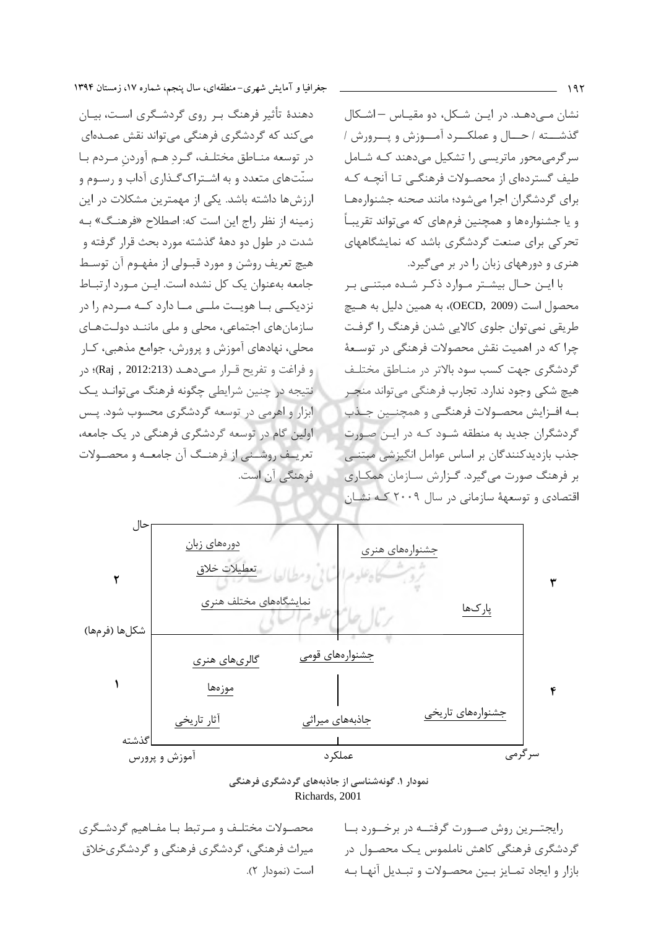نشان مے،دھـد. در ایـن شـکل، دو مقیـاس –اشـکال گذشته / حــال و عملكـــرد آمـــوزش و پـــرورش / سرگرمی محور ماتریسی را تشکیل می دهند کـه شـامل طیف گستردهای از محصـولات فرهنگـی تـا آنچـه کـه برای گردشگران اجرا مے شود؛ مانند صحنه جشنوار مھیا و یا جشنوارهها و همچنین فرمهای که میتواند تقریبـاً تحرکی برای صنعت گردشگری باشد که نمایشگاههای هنری و دورههای زبان را در بر می گیرد.

با ایــن حــال بیشــتر مــوارد ذکـر شــده مبتنــی بــر محصول است (OECD, 2009)، به همین دلیل به هـیچ طریقی نمی توان جلوی کالایی شدن فرهنگ را گرفت چرا که در اهمیت نقش محصولات فرهنگی در توسـعهٔ گردشگری جهت کسب سود بالاتر در منـاطق مختلـف هيچ شكي وجود ندارد. تجارب فرهنگي مي تواند منجـر به افزایش محصولات فرهنگی و همچنین جنذب گردشگران جدید به منطقه شـود کـه در ایـن صـورت جذب بازدیدکنندگان بر اساس عوامل انگیزشی مبتنے بر فرهنگ صورت می گیرد. گزارش سـازمان همکـاری اقتصادی و توسعههٔ سازمانی در سال ۲۰۰۹ کـه نشـان



دهندهٔ تأثیر فرهنگ بـر روی گردشـگری اسـت، بیـان می کند که گردشگری فرهنگی میتواند نقش عمـدهای در توسعه منـاطق مختلـف، گـرد هـم آوردن مـردم بـا سنّتهای متعدد و به اشـتراک گـذاری آداب و رسـوم و ارزش ها داشته باشد. یکی از مهمترین مشکلات در این زمینه از نظر راج این است که: اصطلاح «فرهنگ» بـه شدت در طول دو دههٔ گذشته مورد بحث قرار گرفته و هيچ تعريف روشن و مورد قبـولي از مفهـوم آن توسـط جامعه بهعنوان یک کل نشده است. ایـن مـورد ارتبـاط نزدیکے با هویت ملے ما دارد کـه مــردم را در سازمان های اجتماعی، محلی و ملی ماننـد دولـتهـای محلي، نهادهاي آموزش و پرورش، جوامع مذهبي، كـار و فراغت و تفريح قـرار مــ دهـد (2012:213 , Raj)؛ در نتیجه در چنین شرایطی چگونه فرهنگ میتوانـد یـک ابزار و اهرمی در توسعه گردشگری محسوب شود. پـس اولین گام در توسعه گردشگری فرهنگی در یک جامعه، تعریـف روشــني از فرهنــگ آن جامعــه و محصــولات فرهنگی آن است.



نمودار ۱. گونهشناسی از جاذبههای گردشگری فرهنگی Richards, 2001

محصولات مختلف و مـرتبط بـا مفـاهيم گردشـگرى میراث فرهنگی، گردشگری فرهنگی و گردشگریخلاق است (نمودار ٢). رايجتسرين روش صبورت گرفتيه در برخسورد بيا گردشگری فرهنگی کاهش ناملموس یک محصـول در بازار و ايجاد تمـايز بـين محصـولات و تبـديل آنهـا بـه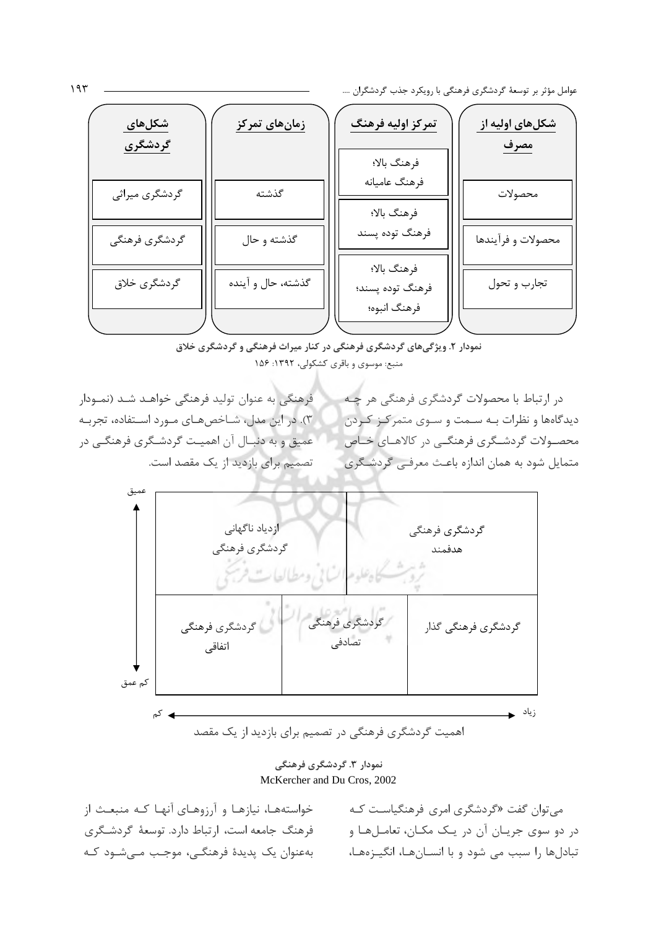عوامل مؤثر بر توسعهٔ گردشگری فرهنگی با رویکرد جذب گردشگران ....

| شکلهای<br>گردشگری | <mark>زمانهای تمرکز</mark> | تمركز اوليه فرهنگ               | شكلهای اوليه از<br>مصرف |
|-------------------|----------------------------|---------------------------------|-------------------------|
| گردشگری میراثی    | گذشته                      | فرهنگ بالا؛<br>فرهنگ عاميانه    | محصولات                 |
| گردشگری فرهنگی    | گذشته و حال                | فرهنگ بالا؛<br>فرهنگ توده پسند  | محصولات و فرآيندها      |
| گردشگری خلاق      | گذشته، حال و آینده         | فرهنگ بالا؛<br>فرهنگ توده پسند؛ | تجارب و تحول            |
|                   |                            | فرهنگ انبوه؛                    |                         |

نمودار ۲. ویژگیهای گردشگری فرهنگی در کنار میراث فرهنگی و گردشگری خلاق منبع: موسوى و باقرى كشكولى، ١٣٩٢: ١۵۶

فرهنگی به عنوان تولید فرهنگی خواهـد شـد (نمـودار ۳). در این مدل، شـاخصهـای مـورد اسـتفاده، تجربـه عميق و به دنبـال آن اهميـت گردشـگري فرهنگـي در تصمیم برای بازدید از یک مقصد است.

در ارتباط با محصولات گردشگری فرهنگی هر چـه دیدگاهها و نظرات به سهت و سوی متمرکز کردن محصـولات گردشــگری فرهنگــی در کالاهــای خــاص متمایل شود به همان اندازه باعث معرفی گردشگری



نمودار ۳. گردشگری فرهنگی McKercher and Du Cros, 2002

خواستههـا، نیازهـا و آرزوهـای آنهـا کـه منبعـث از فرهنگ جامعه است، ارتباط دارد. توسعهٔ گردشگری بەعنوان یک پدیدۂ فرھنگے، موجب مے شـود کـه

میتوان گفت «گردشگری امری فرهنگیاست کـه در دو سوی جريان آن در يک مکـان، تعامـلهـا و تبادلها را سبب می شود و با انسـانهـا، انگیـزههـا،

 $195$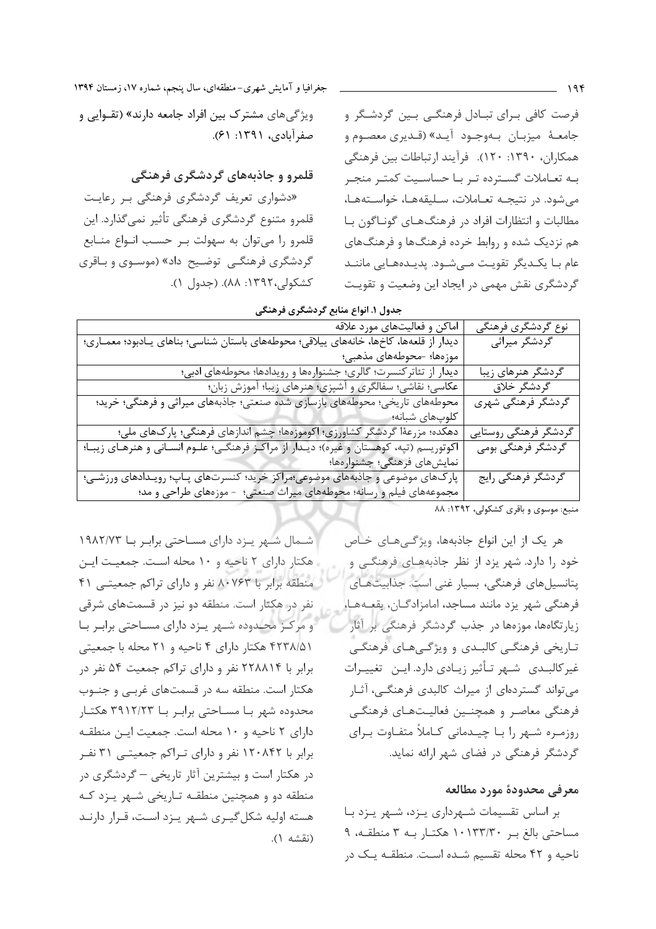ویژگی های مشترک بین افراد جامعه دارند» (تقــوایی و

«دشواری تعریف گردشگری فرهنگی بر رعایت

قلمرو متنوع گردشگری فرهنگی تأثیر نمیگذارد. این

قلمرو را میتوان به سهولت بر حسب انواع منابع

گردشگری فرهنگے<sub>،</sub> توضیح داد» (موسـوی و بـاقری

قلمرو و جاذبههای گردشگری فرهنگی

كشكولي،١٣٩٢: ٨٨). (جدول ١).

صفرآبادي، ١٣٩١: ٤١).

فرصت کافی بـرای تبـادل فرهنگـی بـین گردشـگر و جامعـهٔ میزبـان بـهوجـود آيـد» (قـديري معصـوم و همکاران، ۱۳۹۰: ۱۲۰). فرآیند ارتباطات بین فرهنگی بـه تعـاملات گسـترده تـر بـا حساسـيت كمتـر منجـر می شود. در نتیجـه تعـاملات، سـلیقههـا، خواسـتههـا، مطالبات و انتظارات افراد در فرهنگهای گوناگون با هم نزدیک شده و روابط خرده فرهنگها و فرهنگهای عام بـا یکـدیگر تقویـت مـی شـود. یدیـدههـایی ماننـد گردشگری نقش مهمی در ایجاد این وضعیت و تقویت

جدول ۱. انواع منابع گردشگری فرهنگی

| اماکن و فعالیتهای مورد علاقه                                                              | نوع گردشگری فرهنگی    |
|-------------------------------------------------------------------------------------------|-----------------------|
| دیدار از قلعهها، کاخها، خانههای ییلاقی؛ محوطههای باستان شناسی؛ بناهای یـادبود؛ معمـاری؛   | گردشگر میراثی         |
| موزەها؛ –محوطەهای مذهبی؛                                                                  |                       |
| دیدار از تئاترکنسرت؛ گالری؛ جشنوارهها و رویدادها؛ محوطههای ادبی؛                          | گردشگر هنرهای زیبا    |
| عکاسی؛ نقاشی؛ سفالگری و آشپزی؛ هنرهای زیبا؛ آموزش زبان؛                                   | گردشگر خلاق           |
| محوطههای تاریخی؛ محوطههای بازسازی شده صنعتی؛ جاذبههای میراثی و فرهنگی؛ خرید؛              | گردشگر فرهنگی شهری    |
| كلوپهاى شبانه؛                                                                            |                       |
| دهکده؛ مزرعهٔا گردشگر کشاورزی؛ اکوموزهها؛ چشم اندازهای فرهنگی؛ پارکهای ملی؛               | گردشگر فرهنگی روستایی |
| اکوتوریسم (تپه، کوهستان و غیره)؛ دیـدار از مراکـز فرهنگـی؛ علـوم انسـانی و هنرهـای زیبـا؛ | گردشگر فرهنگی بومی    |
| نمايشهاى فرهنگى؛ جشنوارەها؛                                                               |                       |
| پارک&ای موضوعی و جاذبههای موضوعی؛مراکز خرید؛ کنسرتهای پــاپ؛ رویــدادهای ورزشــی؛         | گردشگر فرهنگی رایج    |
| مجموعههای فیلم و رسانه؛ محوطههای میراث صنعتی؛ - موزههای طراحی و مد؛                       |                       |

منبع: موسوى و باقرى كشكولى، ١٣٩٢: ٨٨

هر یک از این انواع جاذبهها، ویژگیهای خاص خود را دارد. شهر یزد از نظر جاذبههای فرهنگی و پتانسیلهای فرهنگی، بسیار غنی است. جذابیتهای فرهنگی شهر یزد مانند مساجد، امامزادگـان، بقعـههـا، زیارتگاهها، موزهها در جذب گردشگر فرهنگی بر آثار تـاریخی فرهنگـی کالبـدی و ویژگـیهـای فرهنگـی غیرکالبـدی شـهر تـأثیر زیـادی دارد. ایـن تغییـرات می تواند گستردهای از میراث کالبدی فرهنگی، آثـار فرهنگی معاصر و همچنین فعالیتهای فرهنگی روزمرہ شـهر را بـا چیـدمانی کـاملاً متفـاوت بـرای گردشگر فرهنگی در فضای شهر ارائه نماید.

### معرفي محدودة مورد مطالعه

بر اساس تقسیمات شـهرداری پـزد، شـهر پـزد بـا مساحتی بالغ بر ۱۰۱۳۳/۳۰ هکتـار بـه ۳ منطقـه، ۹ ناحیه و ۴۲ محله تقسیم شـده اسـت. منطقـه یـک در

شـمال شـهر يـزد داراي مسـاحتى برابـر بــا ١٩٨٢/٧٣ هکتار دارای ۲ ناحیه و ۱۰ محله است. جمعیت این منطقه برابر با ۸۰۷۶۳ نفر و دارای تراکم جمعیتـی ۴۱ نفر در هکتار است. منطقه دو نیز در قسمتهای شرقی و مرکز محدوده شـهر يـزد داراى مسـاحتى برابـر بـا ۴۲۳۸/۵۱ هکتار دارای ۴ ناحیه و ۲۱ محله با جمعیتی برابر با ۲۲۸۸۱۴ نفر و دارای تراکم جمعیت ۵۴ نفر در هکتار است. منطقه سه در قسمتهای غربی و جنوب محدوده شهر بـا مسـاحتى برابـر بـا ٣٩١٢/٢٣ هكتـار دارای ۲ ناحیه و ۱۰ محله است. جمعیت این منطقه برابر با ۱۲۰۸۴۲ نفر و دارای تـراکم جمعیتـی ۳۱ نفـر در هکتار است و بیشترین آثار تاریخی – گردشگری در منطقه دو و همچنین منطقـه تـاریخی شـهر پـزد کـه هسته اولیه شکل گیـری شـهر پـزد اسـت، قـرار دارنـد (نقشه ۱).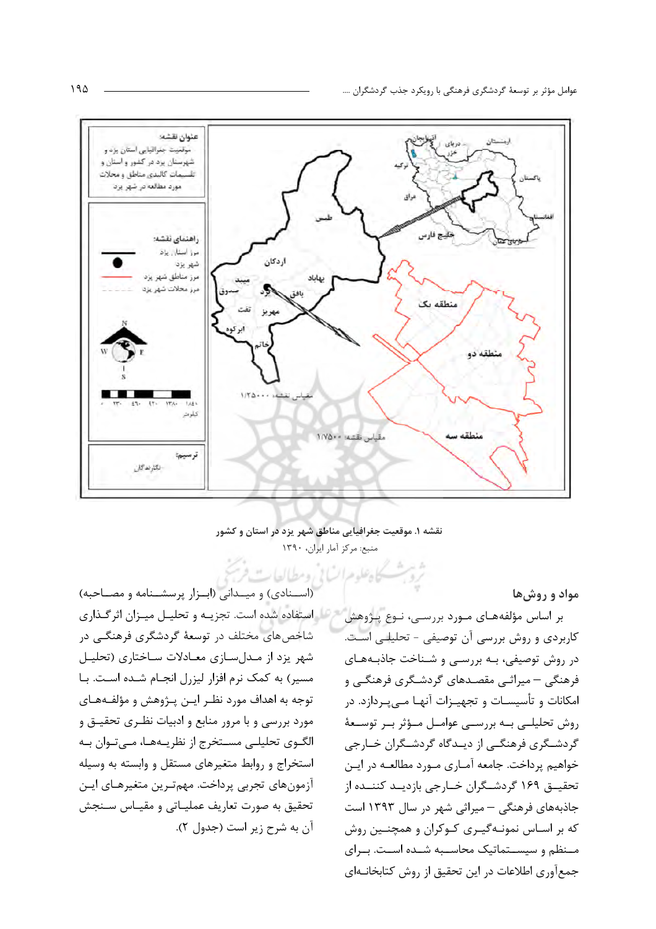

نقشه ۱. موقعیت جغرافیایی مناطق شهر یزد در استان و کشور منبع: مركز آمار ايران، ١٣٩٠

لدعله مراكبا ارومطالعات

مواد و روشها

بر اساس مؤلفههای مـورد بررسـی، نـوع پـژوهش كاربردي و روش بررسي آن توصيفي - تحليلي است. در روش توصیفی، بـه بررسـی و شـناخت جاذبـههـای فرهنگی – میراثـی مقصـدهای گردشـگری فرهنگـی و امکانات و تأسیسـات و تجهیـزات آنهـا مـیپـردازد. در روش تحلیلے بے بررسے عوامل مؤثر بے توسعهٔ گردشـگری فرهنگـی از دیـدگاه گردشـگران خـارجی خواهیم پرداخت. جامعه آمـاری مـورد مطالعـه در ایـن تحقیــق ۱۶۹ گردشــگران خــارجی بازدیــد کننــده از جاذبههای فرهنگی – میراثی شهر در سال ۱۳۹۳ است که بر اسـاس نمونـهگیـری کـوکران و همچنـین روش مـنظم و سیسـتماتیک محاسـبه شـده اسـت. بـرای جمع آوري اطلاعات در اين تحقيق از روش كتابخانـهاي

(استنادی) و میتدانی (ابتزار پرسشتنامه و مصناحبه) لقر استفاده شده است. تجزیـه و تحلیـل میـزان اثرگـذاری شاخصهای مختلف در توسعهٔ گردشگری فرهنگـی در شهر یزد از مدل سازی معادلات ساختاری (تحلیل مسیر) به کمک نرم افزار لیزرل انجام شـده اسـت. بـا توجه به اهداف مورد نظـر ايـن پـژوهش و مؤلفـههـاي مورد بررسی و با مرور منابع و ادبیات نظـری تحقیـق و الگـوی تحلیلـی مسـتخرج از نظریـههـا، مـیتـوان بـه استخراج و روابط متغیرهای مستقل و وابسته به وسیله آزمونهای تجربی پرداخت. مهمترین متغیرهـای ایـن تحقيق به صورت تعاريف عمليـاتي و مقيـاس سـنجش آن به شرح زیر است (جدول ۲).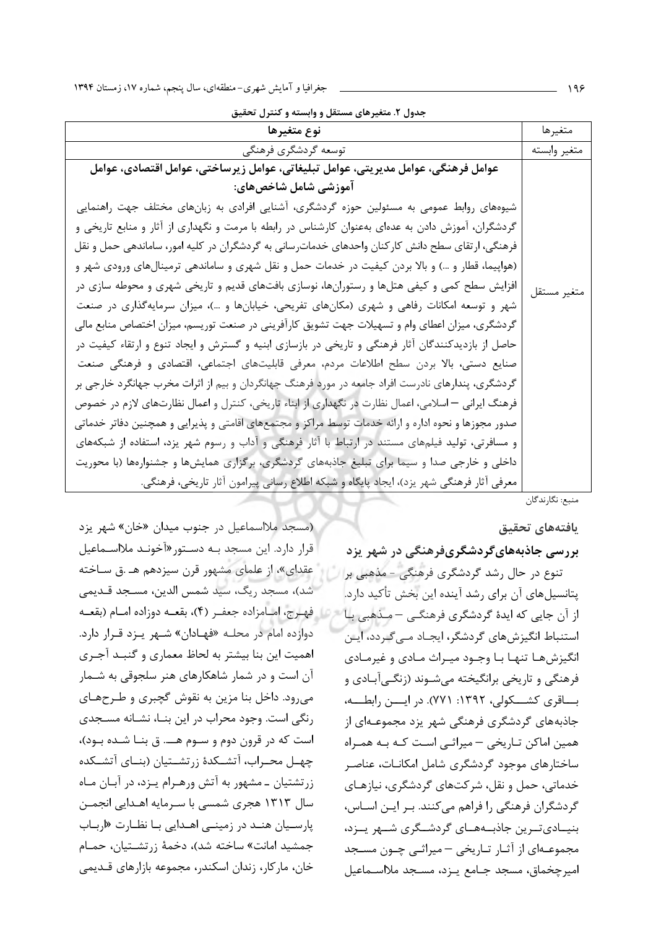جدول ٢. متغیرهای مستقل و وابسته و کنترل تحقیق

| نوع متغيرها                                                                                         | متغيرها      |
|-----------------------------------------------------------------------------------------------------|--------------|
| توسعه گردشگری فرهنگی                                                                                | متغير وابسته |
| عوامل فرهنگي، عوامل مديريتي، عوامل تبليغاتي، عوامل زيرساختي، عوامل اقتصادي، عوامل                   |              |
| آموزشي شامل شاخصهاي:                                                                                |              |
| شیوههای روابط عمومی به مسئولین حوزه گردشگری، آشنایی افرادی به زبانهای مختلف جهت راهنمایی            |              |
| گردشگران، آموزش دادن به عدهای بهعنوان کارشناس در رابطه با مرمت و نگهداری از آثار و منابع تاریخی و   |              |
| فرهنگی، ارتقای سطح دانش کارکنان واحدهای خدماترسانی به گردشگران در کلیه امور، ساماندهی حمل و نقل     |              |
| (هواپیما، قطار و …) و بالا بردن کیفیت در خدمات حمل و نقل شهری و ساماندهی ترمینالهای ورودی شهر و     |              |
| افزایش سطح کمی و کیفی هتلها و رستورانها، نوسازی بافتهای قدیم و تاریخی شهری و محوطه سازی در          | متغير مستقل  |
| شهر و توسعه امکانات رفاهی و شهری (مکانهای تفریحی، خیابانها و …)، میزان سرمایهگذاری در صنعت          |              |
| گردشگری، میزان اعطای وام و تسهیلات جهت تشویق کارآفرینی در صنعت توریسم، میزان اختصاص منابع مالی      |              |
| حاصل از بازدیدکنندگان آثار فرهنگی و تاریخی در بازسازی ابنیه و گسترش و ایجاد تنوع و ارتقاء کیفیت در  |              |
| صنایع دستی، بالا بردن سطح اطلاعات مردم، معرفی قابلیتهای اجتماعی، اقتصادی و فرهنگی صنعت              |              |
| گردشگری، پندارهای نادرست افراد جامعه در مورد فرهنگ جهانگردان و بیم از اثرات مخرب جهانگرد خارجی بر   |              |
| فرهنگ ایرانی — اسلامی، اعمال نظارت در نگهداری از ابناء تاریخی، کنترل و اعمال نظارتهای لازم در خصوص  |              |
| صدور مجوزها و نحوه اداره و ارائه خدمات توسط مراكز و مجتمعهای اقامتی و پذیرایی و همچنین دفاتر خدماتی |              |
| و مسافرتی، تولید فیلمهای مستند در ارتباط با آثار فرهنگی و آداب و رسوم شهر یزد، استفاده از شبکههای   |              |
| داخلی و خارجی صدا و سیما برای تبلیغ جاذبههای گردشگری، برگزاری همایشها و جشنوارهها (با محوریت        |              |
| معرفي آثار فرهنگي شهر يزد)، ايجاد پايگاه و شبكه اطلاع رساني پيرامون آثار تاريخي، فرهنگي.            |              |

منبع: نگارندگان

### يافتههاى تحقيق

بررسی جاذبههایگردشگریفرهنگی در شهر یزد تنوع در حال رشد گردشگری فرهنگی - مذهبی بر پتانسیلهای آن برای رشد آینده این بخش تأکید دارد. از آن جایی که ایدهٔ گردشگری فرهنگـی – مـذهبی بـا استنباط انگیزشهای گردشگر، ایجـاد مـی *گـ*ردد، ایـن انگیزش هـا تنهـا بـا وجـود میـراث مـادی و غیرمـادی فرهنگی و تاریخی برانگیخته میشـوند (زنگـی]بادی و بساقری کشـــکولی، ۱۳۹۲: ۷۷۱). در ایسـن رابطـــه، جاذبههای گردشگری فرهنگی شهر یزد مجموعـهای از همین اماکن تـاریخی – میراثـی اسـت کـه بـه همـراه ساختارهای موجود گردشگری شامل امکانـات، عناصـر خدماتی، حمل و نقل، شرکتهای گردشگری، نیازهـای گردشگران فرهنگی را فراهم می کنند. بـر ایـن اسـاس، بنیــادیتــرین جاذبــههــای گردشــگری شــهر پــزد، مجموعــهای از آثــار تــاریخی – میراثــی چــون مســجد امیرچخماق، مسجد جـامع پـزد، مسـجد ملااسـماعیل

(مسجد ملااسماعیل در جنوب میدان «خان» شهر یزد قرار دارد. این مسجد بـه دسـتور«آخونـد ملااسـماعیل عقدای»، از علمای مشهور قرن سیزدهم هـ .ق سـاخته شد)، مسجد ريگ، سيد شمس الدين، مسـجد قـديمي ه الله فهرج، امـامزاده جعفـر (۴)، بقعــه دوزاده امــام (بقعــه دوازده امام در محلـه «فهـادان» شـهر يـزد قـرار دارد. اهمیت این بنا بیشتر به لحاظ معماری و گنبد آجری آن است و در شمار شاهکارهای هنر سلجوقی به شــمار می رود. داخل بنا مزین به نقوش گچبری و طـرحهـای رنگی است. وجود محراب در این بنـا، نشـانه مسـجدی است که در قرون دوم و سـوم هـــ. ق بنــا شـده بــود)، چهـل محـراب، آتشـكدهٔ زرتشـتيان (بنــاي آتشـكده زرتشتیان ـ مشهور به آتش ورهـرام یـزد، در آبـان مـاه سال ۱۳۱۳ هجری شمسی با سـرمایه اهـدایی انجمـن پارسیان هند در زمینی اهدایی با نظارت «ارباب جمشید امانت» ساخته شد)، دخمهٔ زرتشـتیان، حمـام خان، ماركار، زندان اسكندر، مجموعه بازارهاي قـديمي

 $199$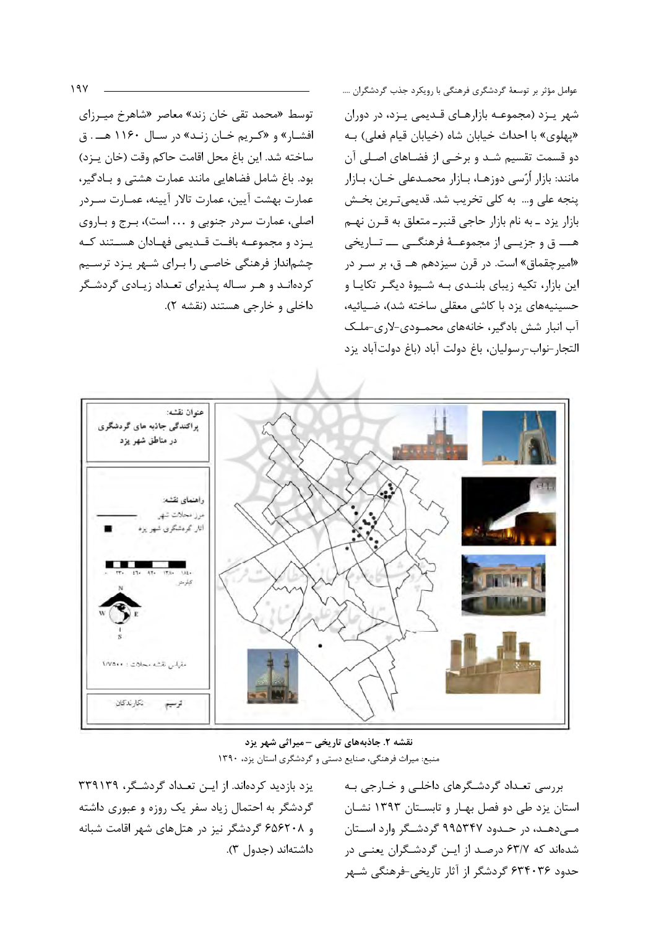توسط «محمد تقی خان زند» معاصر «شاهرخ میـرزای افشار» و «کریم خان زنـد» در سـال ۱۱۶۰ هــ. ق ساخته شد. این باغ محل اقامت حاکم وقت (خان پـزد) بود. باغ شامل فضاهایی مانند عمارت هشتی و بادگیر، عمارت بهشت آيين، عمارت تالار آيينه، عمـارت سـردر اصلي، عمارت سردر جنوبي و ... است)، برج و بـاروي يـزد و مجموعــه بافــت قــديمي فهــادان هســتند كــه چشمانداز فرهنگی خاصی را برای شـهر پـزد ترسـیم کردهاند و هـر سـاله پـذیرای تعـداد زیـادی گردشـگر داخلي و خارجي هستند (نقشه ٢). عوامل مؤثر بر توسعهٔ گردشگری فرهنگی با رویکرد جذب گردشگران .... شهر يـزد (مجموعـه بازارهـاي قـديمي يـزد، در دوران «پهلوی» با احداث خیابان شاه (خیابان قیام فعلی) به دو قسمت تقسیم شـد و برخـی از فضـاهای اصـلی آن مانند: بازار اُرُسی دوزهـا، بـازار محمـدعلی خـان، بـازار ينجه على و... به كلي تخريب شد. قديمي تـرين بخـش بازار يزد ـ به نام بازار حاجي قنبر- متعلق به قـرن نهـم هــــ ق و جزیــی از مجموعــهٔ فرهنگــی ـــ تــاریخی «امیرچقماق» است. در قرن سیزدهم هـ ق، بر سـر در این بازار، تکیه زیبای بلنـدی بـه شـیوهٔ دیگـر تکایـا و حسینیههای یزد با کاشی معقلی ساخته شد)، ضیائیه، آب انبار شش بادگیر، خانههای محمودی-لاری-ملک التجار-نواب-رسوليان، باغ دولت آباد (باغ دولتآباد يزد



نقشه ۲. جاذبههای تاریخی -میراثی شهر یزد منبع: میراث فرهنگی، صنایع دستی و گردشگری استان یزد، ١٣٩٠

یزد بازدید کردهاند. از ایـن تعـداد گردشـگر، ۳۳۹۱۳۹ گردشگر به احتمال زیاد سفر یک روزه و عبوری داشته و ۶۵۶۲۰۸ گردشگر نیز در هتلهای شهر اقامت شبانه داشتهاند (جدول ٣). بررسی تعـداد گردشـگرهای داخلـی و خـارجی بـه استان یزد طی دو فصل بهـار و تابسـتان ۱۳۹۳ نشـان مے دھـد، در حـدود ۹۹۵۳۴۷ گردشـگر وارد اسـتان شدهاند که ۶۳/۷ درصد از ایـن گردشـگران یعنـی در حدود ۶۳۴۰۳۶ گردشگر از آثار تاریخی-فرهنگی شـهر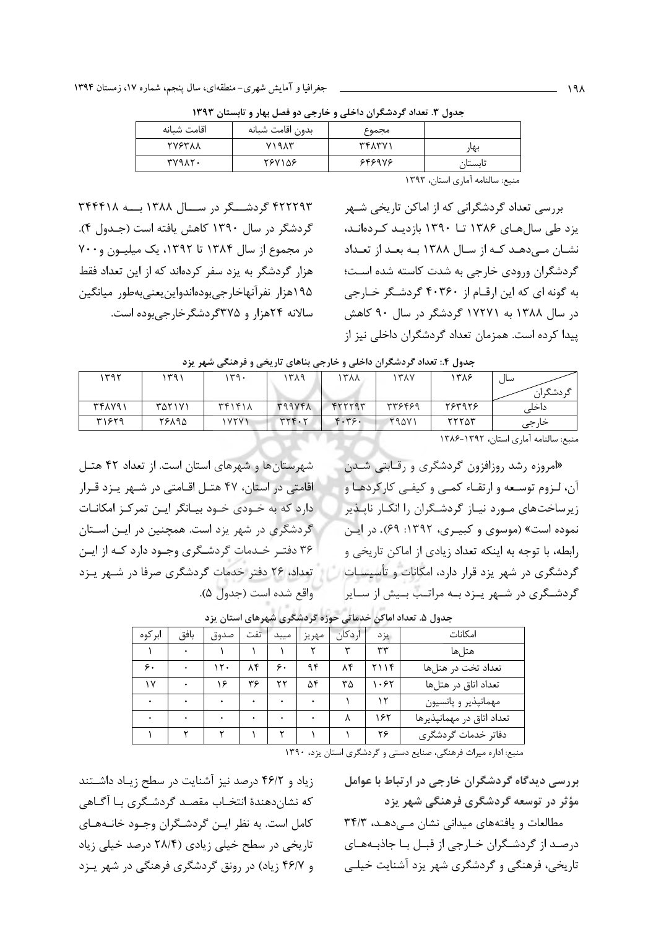| اقامت شىانە   | بدون اقامت شبانه | مجموع  |         |
|---------------|------------------|--------|---------|
| <b>TVSTAA</b> | $Y$ $Y$ $Y$ $Y$  | ۳۴۸۳۷۱ | بهار    |
| TV9AT.        | 787158           | 646976 | تابستان |
|               |                  |        |         |

جدول ۳. تعداد گردشگران داخلی و خارجی دو فصل بهار و تابستان ۱۳۹۳

۴۲۲۲۹۳ گردشـــگر در ســـال ۱۳۸۸ بـــه ۳۴۴۴۱۸ گردشگر در سال ۱۳۹۰ کاهش یافته است (جـدول ۴). در مجموع از سال ۱۳۸۴ تا ۱۳۹۲، یک میلیون و ۷۰۰ هزار گردشگر به یزد سفر کردهاند که از این تعداد فقط ۱۹۵هزار نفرآنهاخارجي بودهاندواين يعنى بهطور ميانگين سالانه ۲۴هزار و ۳۷۵گردشگرخارجیبوده است.

منبع: سالنامه آماري استان، ١٣٩٣

بررسی تعداد گردشگرانی که از اماکن تاریخی شـهر یزد طی سال های ۱۳۸۶ تــا ۱۳۹۰ بازدیـد کـردهانـد، نشان مے،دھد کـه از سـال ۱۳۸۸ بـه بعـد از تعـداد گردشگران ورودی خارجی به شدت کاسته شده است؛ به گونه ای که این ارقام از ۴۰۳۶۰ گردشگر خـارجی در سال ۱۳۸۸ به ۱۷۲۷۱ گردشگر در سال ۹۰ کاهش پیدا کرده است. همزمان تعداد گردشگران داخلی نیز از

|  |  |  |  |  |  |  | جدول ۴.: تعداد گردشگران داخلی و خارجی بناهای تاریخی و فرهنگی شهر یزد |  |  |
|--|--|--|--|--|--|--|----------------------------------------------------------------------|--|--|
|--|--|--|--|--|--|--|----------------------------------------------------------------------|--|--|

| ۱۳۹۲   | ۱ ۳۹   | ۱۳۹۰           | ۳۸۹     | <b>AA7</b> | ۱۳۸۷         | ۱۳۸۶   | سال<br>دشگ ا∴ |
|--------|--------|----------------|---------|------------|--------------|--------|---------------|
| ۳۴۸۷۹۱ | ۳۵۲۱۷۱ | $Tf1f1\lambda$ | 399VF1  | 5557797    | 378497       | ٢۶٣٩٢۶ | داخلہ         |
| ۳۱۶۲۹  | 88198  | 1YYY1          | YYYY. Y | F.79.      | <b>79471</b> | ۲۲۲۵۳  | حارجى         |

منبع: سالنامه آماری استان، ١٣٩٢-١٣٨۶

«امروزه رشد روزافزون گردشگری و رقبایتی شیدن آن، لـزوم توسـعه و ارتقـاء كمـى و كيفـى كاركردهـا و زیرساختهای مورد نیاز گردشگران را انکار ناپذیر نموده است» (موسوی و کبیـری، ۱۳۹۲: ۶۹). در ایـن رابطه، با توجه به اینکه تعداد زیادی از اماکن تاریخی و گردشگری در شهر یزد قرار دارد، امکانات و تأسیسات گردشگری در شـهر يـزد بـه مراتـب بـيش از سـاير

شهرستان ها و شهرهای استان است. از تعداد ۴۲ هتـل اقامتی در استان، ۴۷ هتـل اقـامتی در شـهر پـزد قـرار دارد که به خـودی خـود بیـانگر ایـن تمرکـز امکانـات گردشگری در شهر یزد است. همچنین در ایـن اسـتان ۳۶ دفتـر خـدمات گردشـگری وجـود دارد کـه از ايـن تعداد، ۲۶ دفتر خدمات گردشگری صرفا در شـهر پـزد واقع شده است (جدول ۵).

| ابركوه | بافق | صدوق | تفت | ميبد | مهريز | اردكان | يز د | امكانات                   |
|--------|------|------|-----|------|-------|--------|------|---------------------------|
|        |      |      |     |      |       | س      | ٣٣   | هتا ها                    |
| ۶.     |      | ۱۲.  | ۸۴  | ۶.   | ۹۴    | ۸۴     | ۲۱۱۴ | تعداد تخت در هتلها        |
| ۱۷     |      | ۶    | ۳۶  | ٢٢   | ۵۴    | ٣۵     | .55  | تعداد اتاق در هتلها       |
|        |      |      |     |      |       |        |      | مهمانپذیر و پانسیون       |
|        |      |      |     |      |       |        | ۱۶۲  | تعداد اتاق در مهمانپذیرها |
|        |      |      |     |      |       |        | ۲۶   | دفاتر خدمات گردشگری       |

جدول ۵. تعداد اماکن خدماتی حوزه گردشگری شهرهای استان یزد

منبع: اداره میراث فرهنگی، صنایع دستی و گردشگری استان یزد، ١٣٩٠

بررسی دیدگاه گردشگران خارجی در ارتباط با عوامل مؤثر در توسعه گردشگری فرهنگی شهر یزد

مطالعات و یافتههای میدانی نشان مهدهد، ۳۴/۳ درصد از گردشگران خـارجی از قبـل بـا جاذبـههـای تاریخی، فرهنگی و گردشگری شهر یزد آشنایت خیلبی

زیاد و ۴۶/۲ درصد نیز آشنایت در سطح زیاد داشتند كه نشاندهندهٔ انتخـاب مقصـد گردشـگری بـا آگـاهی كامل است. به نظر ايـن گردشـگران وجـود خانـههـاي تاریخی در سطح خیلی زیادی (۲۸/۴ درصد خیلی زیاد و ۴۶/۷ زیاد) در رونق گردشگری فرهنگی در شهر پیزد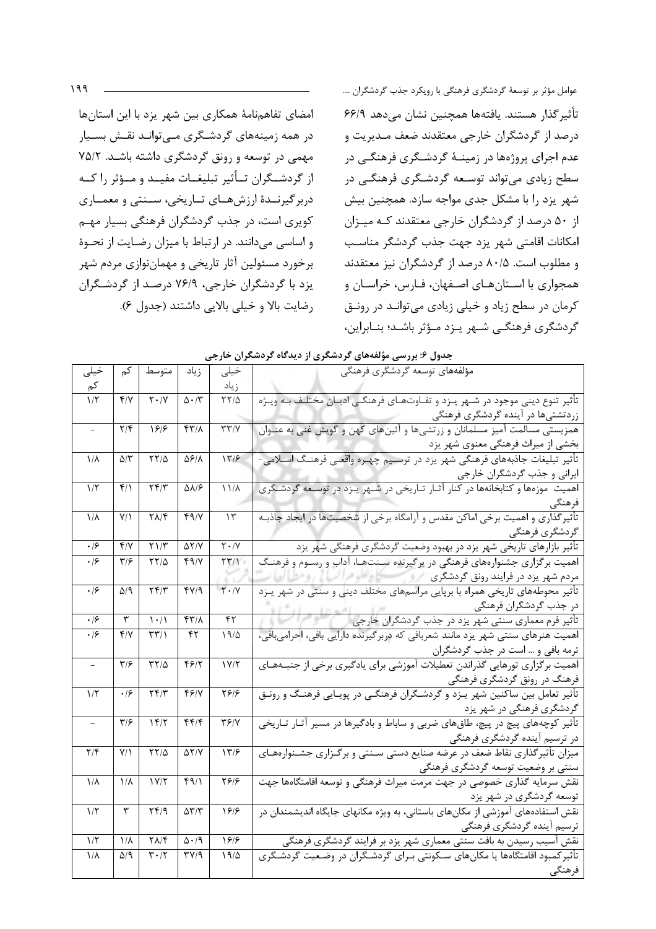امضای تفاهمنامهٔ همکاری بین شهر یزد با این استانها در همه زمینههای گردشگری مےتوانـد نقـش بسـیار مهمی در توسعه و رونق گردشگری داشته باشد. ۷۵/۲ از گردشــگران تــأثير تبليغــات مفيــد و مــؤثر را كــه دربرگیرنــدهٔ ارزشهــای تــاریخی، ســنتی و معمــاری کویری است، در جذب گردشگران فرهنگی بسیار مهـم و اساسی میدانند. در ارتباط با میزان رضایت از نحوهٔ برخورد مسئولین آثار تاریخی و مهماننوازی مردم شهر یزد با گردشگران خارجی، ۷۶/۹ درصد از گردشگران رضايت بالا و خيلي بالايي داشتند (جدول ۶). عوامل مؤثر بر توسعهٔ گردشگری فرهنگی با رویکرد جذب گردشگران .... تأثير گذار هستند. يافتهها همچنين نشان مي دهد ۶۶/۹ درصد از گردشگران خارجی معتقدند ضعف مـديريت و عدم اجرای پروژهها در زمینـهٔ گردشـگری فرهنگـی در سطح زیادی میتواند توسعه گردشگری فرهنگـی در شهر یزد را با مشکل جدی مواجه سازد. همچنین بیش از ۵۰ درصد از گردشگران خارجی معتقدند کـه میــزان امكانات اقامتي شهر يزد جهت جذب گردشگر مناسب و مطلوب است. ۸۰/۵ درصد از گردشگران نیز معتقدند همجواري با اسـتانهـاي اصـفهان، فـارس، خراسـان و کرمان در سطح زیاد و خیلی زیادی میتوانـد در رونـق گردشگری فرهنگے شےر پےزد مؤثر باشـد؛ بنـابراین،

|  |  |  |  |  | جدول ۶: بررسی مؤلفههای گردشگری از دیدگاه گردشگران خارجی |  |  |
|--|--|--|--|--|---------------------------------------------------------|--|--|
|--|--|--|--|--|---------------------------------------------------------|--|--|

| خيلى                    | کم                                              | متوسط                               | زياد                           | خيلى                                   | مؤلفەهاي توسعه گردشگرى فرهنگى                                                                                 |
|-------------------------|-------------------------------------------------|-------------------------------------|--------------------------------|----------------------------------------|---------------------------------------------------------------------------------------------------------------|
| کم                      |                                                 |                                     |                                | زياد                                   |                                                                                                               |
| $1/\tau$                | Y/Y                                             | $\overline{Y} \cdot / \overline{Y}$ | $\Delta \cdot 7$               | $\tau\tau/\Delta$                      | تأثیر تنوع دینی موجود در شـهر یـزد و تفـاوتهـای فرهنگـی ادیـان مختلـف بـه ویـژه                               |
|                         |                                                 |                                     |                                |                                        | زردتشتیها در آینده گردشگری فرهنگی                                                                             |
| $\bar{ }$               | $\mathbf{Y}/\mathbf{F}$                         | 1818                                | ۴۳۱۸                           | $\Upsilon\Upsilon/\Upsilon$            | همزیستی مسالمت آمیز مسلمانان و زرتشیها و آئینهای کهن و گویش غنی به عنـوان                                     |
|                         |                                                 |                                     |                                |                                        | بخشی از میراث فرهنگی معنوی شهر یزد                                                                            |
| ١Ιλ                     | ۵/۳                                             | ۲۲/۵                                | <b>ASIA</b>                    | 177                                    | تأثیر تبلیغات جاذبههای فرهنگی شهر یزد در ترسـیم چهـره واقعـی فرهنـگ اسـلامی-                                  |
|                         |                                                 |                                     |                                |                                        | ایرانی و جذب گردشگران خارج <u>ی</u> مستنس                                                                     |
| $1/\zeta$               | $f/\lambda$                                     | ۲۴/۳                                | ۵۸۱۶                           | $11/\lambda$                           | اهمیت  موزهها و کتابخانهها در کنار آثـار تـاریخی در شـهر یـزد در توسـعه گردشـگری                              |
|                         |                                                 |                                     |                                |                                        | فرهنگی                                                                                                        |
| $1/\lambda$             | $Y/\lambda$                                     | $\Upsilon \Lambda / \Upsilon$       | 4917                           | $\mathcal{N}$                          | تأثيرگذاري و اهميت برخي اماكن مقدس و آرامگاه برخي از شخصيتها در ايجاد جاذبـه                                  |
|                         |                                                 |                                     |                                |                                        | گردشگری فرهنگی                                                                                                |
| $\cdot$ / $\epsilon$    | $f/\gamma$                                      | $Y \setminus /Y$                    | $\Delta Y/Y$                   | $\overline{\Upsilon \cdot / \Upsilon}$ | تأثیر بازارهای تاریخی شهر یزد در بهبود وضعیت گردشگری فرهنگی شهر یزد                                           |
| .19                     | $\mathbf{y}_{\mathcal{B}}$                      | $\frac{5}{10}$                      | ۴۹/۷                           | $\Upsilon(\gamma)$                     | اهمیت برگزاری جشنوارههای فرهنگی در برگیرنده سـنتهـا، آداب و رسـوم و فرهنـگ                                    |
|                         |                                                 |                                     |                                |                                        | مردم شهر یزد در فرایند رونق گردشگری محرکی است کا و علوم اسما فرانسانی و مطال                                  |
| .19                     | $\Delta$ /9                                     | Yf/Y                                | fY/9                           | $Y \cdot / V$                          | تأثیر محوطههای تاریخی همراه با برپایی مراسمهای مختلف دینی و سنتی در شهر یـزد                                  |
|                         |                                                 |                                     |                                |                                        | در جذب گردشگران فرهنگی مستقل می کنیم که است از استفاده با استفاده با استفاده با استفاده با استفاده با استفاده |
| ۰۱۶                     | ٣                                               | $\left  \cdot \right $              | ۴۳۱۸                           | $\overline{\mathsf{f}^{\mathsf{r}}}$   | تأثیر فرم معماری سنتی شهر یزد در جذب گردشگران خارجی                                                           |
| .19                     | $f/\gamma$                                      | $\mathbf{r}\mathbf{r}$              | ۴۲                             | 19/2                                   | اهمیت هنرهای سنتی شهر یزد مانند شعربافی که دربرگیرنده دارایی بافی، احرامیبافی،                                |
|                         |                                                 |                                     |                                |                                        | ترمه بافی و … است در جذب گردشگران                                                                             |
|                         | $\overline{\overline{\overline{\overline{y}}}}$ | $\tau\tau/\Delta$                   | 4817                           | 1Y/Y                                   | اهمیت برگزاری تورهایی گذراندن تعطیلات آموزشی برای یادگیری برخی از جنبـههـای                                   |
|                         |                                                 |                                     |                                |                                        | فرهنگ در رونق گردشگری فرهنگی                                                                                  |
| $1/\zeta$               | .19                                             | ۲۴/۳                                | 4617                           | 5818                                   | تأثیر تعامل بین ساکنین شهر پـزد و گردشـگران فرهنگـی در پویـایی فرهنـگ و رونـق                                 |
|                         |                                                 |                                     |                                |                                        | گردشگری فرهنگی در شهر یزد                                                                                     |
|                         | $\mathbf{r}/\mathbf{r}$                         | 15/7                                | f(f)                           | $\mathbf{Y} \mathbf{Y} / \mathbf{Y}$   | تأثیر کوچههای پیچ در پیچ، طاقهای ضربی و ساباط و بادگیرها در مسیر آثـار تــاریخی                               |
|                         |                                                 |                                     |                                |                                        | در ترسیم آینده گردشگری فرهنگی                                                                                 |
| $\mathbf{Y}/\mathbf{F}$ | Y/1                                             | ۲۲/۵                                | $\Delta Y/Y$                   | 177                                    | میزان تأثیرگذاری نقاط ضعف در عرضه صنایع دستی سـنتی و برگـزاری جشـنوارههـای                                    |
|                         |                                                 |                                     |                                |                                        | سنتی بر وضعیت توسعه گردشگری فرهنگی                                                                            |
| $1/\lambda$             | $1/\lambda$                                     | 1Y/T                                | f9/1                           | $\frac{8}{2}$                          | نقش سرمایه گذاری خصوصی در جهت مرمت میراث فرهنگی و توسعه اقامتگاهها جهت                                        |
|                         |                                                 |                                     |                                |                                        | توسعه گردشگری در شهر یزد                                                                                      |
| $1/\zeta$               | ٣                                               | YY/9                                | $\Delta \mathbf{Y}/\mathbf{Y}$ | 188                                    | نقش استفادههای آموزشی از مکانهای باستانی، به ویژه مکانهای جایگاه اندیشمندان در                                |
|                         |                                                 |                                     |                                |                                        | ترسیم أینده گردشگری فرهنگی                                                                                    |
| $1/\zeta$               | $1/\lambda$                                     | $Y\Lambda/\mathfrak{F}$             | $\Delta \cdot / 9$             | 199                                    | نقش آسیب رسیدن به بافت سنتی معماری شهر یزد بر فرایند گردشگری فرهنگی                                           |
| $1/\lambda$             | $\Delta$ /9                                     | $\mathbf{r} \cdot \mathbf{r}$       | $\Gamma V/\gamma$              | 19/2                                   | تأثیرکمبود اقامتگاهها یا مکانهای سـکونتی بـرای گردشـگران در وضـعیت گردشـگری                                   |
|                         |                                                 |                                     |                                |                                        | فرهنگى                                                                                                        |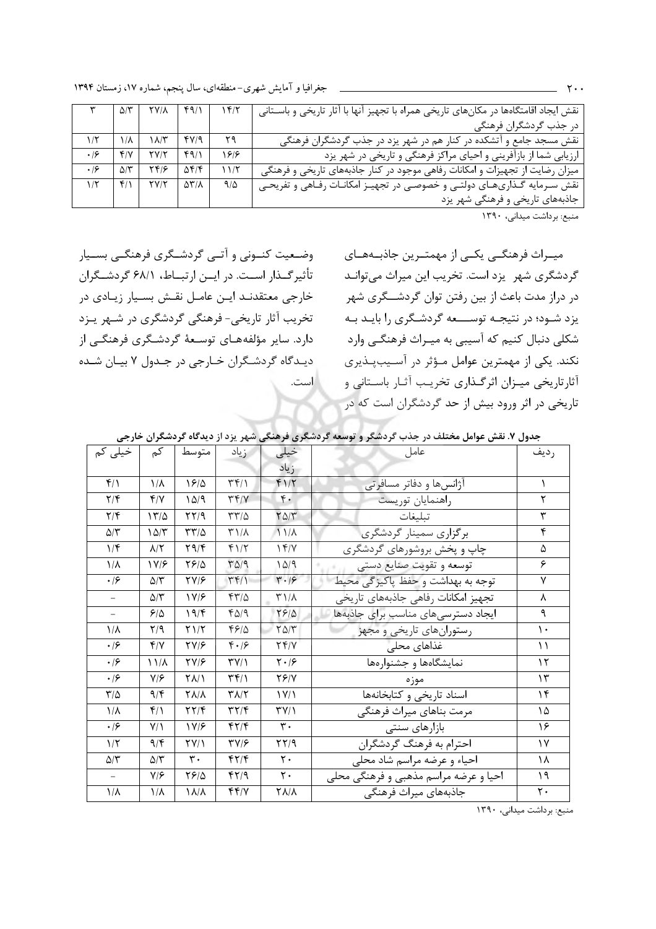|           |             | $\Delta/\Upsilon$ $\Upsilon/\Lambda$ | 49/1 |      | نقش ایجاد اقامتگاهها در مکانهای تاریخی همراه با تجهیز آنها با آثار تاریخی و باسـتانی |
|-----------|-------------|--------------------------------------|------|------|--------------------------------------------------------------------------------------|
|           |             |                                      |      |      | در جذب گردشگران فرهنگی                                                               |
| $1/\zeta$ | ١Ιλ         | $\lambda x^2$                        | fV/9 | ۲۹   | نقش مسجد جامع و آتشکده در کنار هم در شهر یزد در جذب گردشگران فرهنگی                  |
| .19       | ۴۱۷         | YY/Y                                 | f9/1 | 1818 | ارزیابی شما از بازآفرینی و احیای مراکز فرهنگی و تاریخی در شهر یزد                    |
| .19       | $\Delta$ /۳ | ۲۴۱۶                                 | ۵۴/۴ | 11/5 | میزان رضایت از تجهیزات و امکانات رفاهی موجود در کنار جاذبههای تاریخی و فرهنگی        |
| $1/\zeta$ | $f/\lambda$ | YY/Y                                 | ۵۳/۸ | 9/2  | نقش سـرمایه گـذاریهـای دولتـی و خصوصـی در تجهیـز امکانـات رفـاهی و تفریحـی           |
|           |             |                                      |      |      | جاذبههای تاریخی و فرهنگی شهر یزد                                                     |

منبع: برداشت ميداني، ١٣٩٠

وضعیت کنــونی و آتــی گردشــگری فرهنگــی بســیار تأثیر گــذار اســت. در ایــن ارتبــاط، ۶۸/۱ گردشــگران خارجي معتقدنـد ايـن عامـل نقـش بسـيار زيـادي در تخریب آثار تاریخی- فرهنگی گردشگری در شـهر پـزد دارد. سایر مؤلفههـای توسـعهٔ گردشـگری فرهنگـی از دیـدگاه گردشـگران خـارجی در جـدول ۷ بیـان شـده است.

میــراث فرهنگــی یکــی از مهمتــرین جاذبــههــای گردشگری شهر یزد است. تخریب این میراث می توانـد در دراز مدت باعث از بین رفتن توان گردشـــگری شهر یزد شـود؛ در نتیجـه توســـعه گردشـگری را بایـد بـه شکلی دنبال کنیم که آسیبی به میـراث فرهنگـی وارد نکند. یکی از مهمترین عوامل مـؤثر در آسـیبپـذیری آثارتاریخی میـزان اثرگــذاری تخریـب آثــار باســتانی و تاریخی در اثر ورود بیش از حد گردشگران است که در

|                         |                         |                   |                                |                               | جناول ۰. نفس عواش محتلف در جناب تردشخر و توسعه تردشتخری ترشحتی شهر پرد از دیداده تردشخران حارجی |          |
|-------------------------|-------------------------|-------------------|--------------------------------|-------------------------------|-------------------------------------------------------------------------------------------------|----------|
| خیلی کم                 | كم                      | متوسط             | زياد                           | خيلى                          | عامل                                                                                            | رديف     |
|                         |                         |                   |                                | زياد                          |                                                                                                 |          |
| $f/\lambda$             | $1/\lambda$             | 1810              | $\uparrow \uparrow / \uparrow$ | $f1/\tau$                     | اژانسها و دفاتر مسافرتی                                                                         | ١        |
| $\mathbf{Y}/\mathbf{F}$ | Y/Y                     | 10/9              | $\Upsilon(\gamma)$             | $\mathfrak{r}$ .              | راهنمايان توريست                                                                                | ٢        |
| $\mathbf{Y}/\mathbf{Y}$ | ۱۳/۵                    | $\frac{1}{2}$     | $\tau\tau/\Delta$              | $\Gamma \Delta/\Gamma$        | تبليغات                                                                                         | ٣        |
| $\Delta/\Upsilon$       | ۱۵/۳                    | $\tau\tau/\Delta$ | $\upmu$                        | $11/\lambda$                  | برگزاری سمینار گردشگری                                                                          | ۴        |
| 1/f                     | $\lambda/\Upsilon$      | Y9/F              | $f\$                           | 14/1                          | چاپ و پخش بروشورهای گردشگری                                                                     | ۵        |
| $\frac{1}{\Lambda}$     | 1 Y/F                   | 7818              | $T\Delta$ /9                   | $1\Delta$ /9                  | توسعه و تقويت صنايع دستي                                                                        | ۶        |
| $\cdot$ /۶              | 5/۳                     | <b>TV/8</b>       | $\uparrow \uparrow / \uparrow$ | $\mathbf{r} \cdot \mathbf{r}$ | توجه به بهداشت و حفظ پاکیز گی محیط                                                              | ٧        |
|                         | $\Delta/\tau$           | 1 V/F             | $f\frac{1}{2}$                 | $\Gamma$ )/ $\Lambda$         | تجهيز امكانات رفاهي جاذبههاي تاريخي                                                             | λ        |
|                         | ۶۱۵                     | 19/F              | ۴۵٬۹                           | 7810                          | ايجاد دسترسىهاى مناسب براى جاذبهها                                                              | ٩        |
| $1/\lambda$             | $\mathsf{Y}/\mathsf{q}$ | Y1/Y              | ۴۶۱۵                           | $\Gamma \Delta/\Gamma$        | رستورانهای تاریخی و مجهز                                                                        | ١.       |
| $\cdot$ /۶              | $f/\gamma$              | YV/F              | $f \cdot 19$                   | YY/Y                          | غذاهای محلی                                                                                     | ۱۱       |
| $\cdot$ /۶              | ۱۱/۸                    | $\frac{8}{2}$     | $\Upsilon V/\Upsilon$          | $\mathbf{Y} \cdot \mathbf{S}$ | نمایشگاهها و جشنوارهها                                                                          | $\gamma$ |
| $\cdot$ /۶              | $Y/\mathcal{F}$         | <b>TAI</b>        | $\mathbf{r}$                   | $Y \mathcal{F}/Y$             | موزه                                                                                            | ۱۳       |
| $\frac{1}{2}$           | 9/5                     | <b>TA/A</b>       | $T\Lambda/T$                   | $\frac{1}{\sqrt{2}}$          | اسناد تاریخی و کتابخانهها                                                                       | ۱۴       |
| $\frac{1}{\Lambda}$     | $f/\lambda$             | $\frac{8}{11}$    | ۳۲/۴                           | $\Upsilon V/\Upsilon$         | مرمت بناهاى ميراث فرهنگى                                                                        | ۱۵       |
| $\cdot$ /۶              | $Y/\lambda$             | 1 V/F             | $f\uparrow/\uparrow$           | $\mathbf{r}$ .                | بازارهای سنتی                                                                                   | ۱۶       |
| $1/\tau$                | $9/\mathfrak{F}$        | YY/1              | <b>٣٧/۶</b>                    | ۲۲/۹                          | احترام به فرهنگ گردشگران                                                                        | ١٧       |
| $\Delta/\tau$           | $\Delta$ /۳             | $\mathbf{r}$ .    | $fY/\mathfrak{F}$              | $\mathsf{r}$ .                | احیاء و عرضه مراسم شاد محلی                                                                     | ۱۸       |
| $\equiv$                | V/F                     | 7818              | 47/9                           | ٢٠                            | احیا و عرضه مراسم مذهبی و فرهنگی محلی                                                           | ۱۹       |
| $1/\lambda$             | $1/\lambda$             | 1 A/A             | 44/4                           | <b>TA/A</b>                   | جاذبههای میراث فرهنگی                                                                           | ٢٠       |

حدمل لا نقشر عوامل وختلف در حذرن گردشگر و توسعه گردشگری فرهنگ شور بزد از دردگاه گردشگران خارجر

منبع: برداشت میدانی، ١٣٩٠

 $\cdot$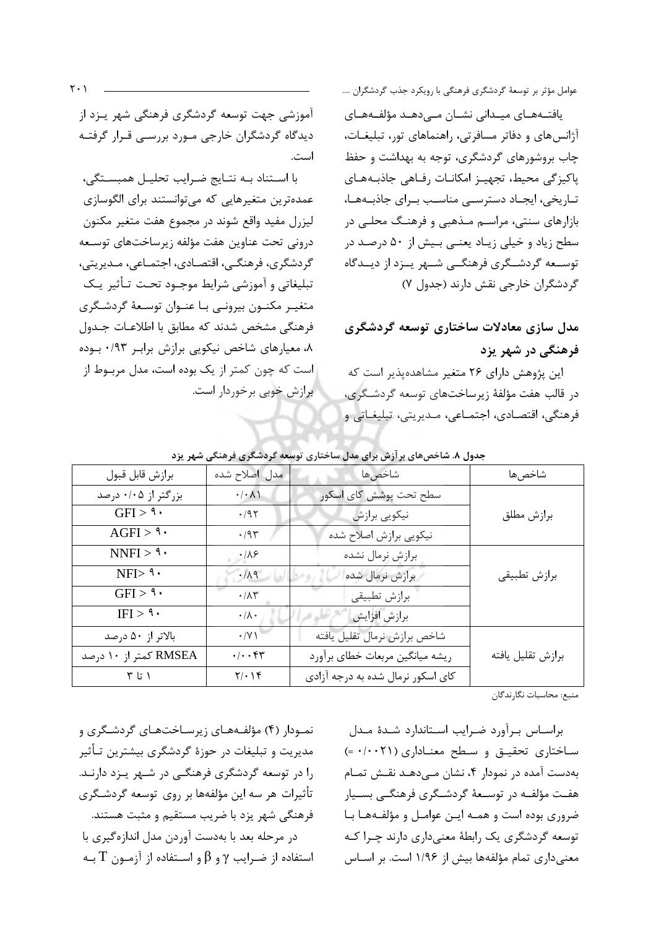آموزشی جهت توسعه گردشگری فرهنگی شهر پـزد از دیدگاه گردشگران خارجی مـورد بررسـی قـرار گرفتـه است.

با استناد به نتايج ضرايب تحليل همبستگى، عمده ترین متغیرهایی که می توانستند برای الگوسازی ليزرل مفيد واقع شوند در مجموع هفت متغير مكنون درونی تحت عناوین هفت مؤلفه زیرساختهای توسـعه گردشگری، فرهنگے، اقتصادی، اجتمـاعی، مـدیریتی، تبليغاتي و آموزشي شرايط موجـود تحـت تـأثير يـك متغيـر مكنـون بيرونـي بـا عنـوان توسـعهٔ گردشـگري فرهنگی مشخص شدند که مطابق با اطلاعـات جـدول ۸، معیارهای شاخص نیکویی برازش برابر ۰/۹۳ بوده است که چون کمتر از یک بوده است، مدل مربـوط از برازش خوبی برخوردار است. عوامل مؤثر بر توسعهٔ گردشگری فرهنگی با رویکرد جذب گردشگران ....

يافتـههـاى ميـدانى نشـان مـىدهـد مؤلفـههـاى آژانسهای و دفاتر مسافرتی، راهنماهای تور، تبلیغـات، چاب بروشورهای گردشگری، توجه به بهداشت و حفظ پاکیزگی محیط، تجهیز امکانات رفاهی جاذبههای تباریخی، ایجباد دسترسبی مناسب بیرای جاذبیهها، بازارهای سنتی، مراسـم مـذهبی و فرهنـگ محلـی در سطح زیاد و خیلی زیـاد یعنـی بـیش از ۵۰ درصـد در توســعه گردشــگرى فرهنگــى شــهر يــزد از ديــدگاه گردشگران خارجی نقش دارند (جدول ۷)

# مدل سازی معادلات ساختاری توسعه گردشگری فرهنگی در شهر یزد

این پژوهش دارای ۲۶ متغیر مشاهدهیذیر است که در قالب هفت مؤلفهٔ زیرساختهای توسعه گردشگری، فرهنگي، اقتصـادي، اجتمـاعي، مـديريتي، تبليغـاتي و

| جناون ۲۰. ساختن نیز ارس برای شان ساختاری توسعه فرقشتاری فرستی شهر پرت |                         |                                   |                   |  |  |  |  |  |  |  |
|-----------------------------------------------------------------------|-------------------------|-----------------------------------|-------------------|--|--|--|--|--|--|--|
| برازش قابل قبول                                                       | مدل اصلاح شده           | شاخصها                            | شاخصها            |  |  |  |  |  |  |  |
| بزرگتر از ۰/۰۵ درصد                                                   | $\cdot/\cdot$ A)        | سطح تحت پوشش کای اسکور            |                   |  |  |  |  |  |  |  |
| $GFI > \mathcal{I}$                                                   | $\cdot$ /9 $\Upsilon$   | نیکویی برازش                      | برازش مطلق        |  |  |  |  |  |  |  |
| $AGFI > \mathsf{P}$                                                   | $\cdot$ /95             | نیکویی برازش اصلاح شده            |                   |  |  |  |  |  |  |  |
| NNFI > 1                                                              | $\cdot/\lambda$ ۶       | برازش نرمال نشده                  |                   |  |  |  |  |  |  |  |
| NFI > 9.                                                              | .71.                    | برازش نرمال شده                   | برازش تطبيقي      |  |  |  |  |  |  |  |
| $GFI > \mathcal{I}$                                                   | $\cdot/\Lambda\Upsilon$ | برازش تطبيقي                      |                   |  |  |  |  |  |  |  |
| $IFI > \mathcal{A}$                                                   | $\cdot/\lambda \cdot$   | برازش افزايش                      |                   |  |  |  |  |  |  |  |
| بالاتر از ۵۰ درصد                                                     | $\cdot$ /Y)             | شاخص برازش نرمال تقليل يافته      |                   |  |  |  |  |  |  |  |
| RMSEA کمتر از ۱۰ درصد                                                 | $\cdot/\cdot\cdot$ ۴۳   | ريشه ميانگين مربعات خطاي برآورد   | برازش تقليل يافته |  |  |  |  |  |  |  |
| $\uparrow$ ا تا $\uparrow$                                            | $Y/\cdot$ ) $Y$         | کای اسکور نرمال شده به درجه آزادی |                   |  |  |  |  |  |  |  |

.<br>جدول ۸. شاخص های برآزش برای مدل ساختاری توسعه گردشگری فرهنگی شهر بزد

منبع: محاسبات نگارندگان

براستاس بترآورد ضبرایب استاندارد شندهٔ مندل ساختاری تحقیق و سطح معناداری (۰/۰۰۲۱ =) بهدست آمده در نمودار ۴، نشان مهیدهـد نقـش تمـام هفت مؤلفـه در توسـعهٔ گردشـگری فرهنگـی بسـيار ضروری بوده است و همـه ایـن عوامـل و مؤلفـههـا بـا توسعه گردشگری یک رابطهٔ معنیداری دارند چـرا کـه معنی داری تمام مؤلفهها بیش از ۱/۹۶ است. بر اسـاس

نمـودار (۴) مؤلفـههـای زیرسـاختهـای گردشـگری و مدیریت و تبلیغات در حوزهٔ گردشگری بیشترین تـأثیر را در توسعه گردشگری فرهنگے در شـهر پـزد دارنـد. تأثيرات هر سه اين مؤلفهها بر روي توسعه گردشـگري فرهنگی شهر یزد با ضریب مستقیم و مثبت هستند. در مرحله بعد با بهدست آوردن مدل اندازهگیری با استفاده از ضـرايب γ و β و اسـتفاده از آزمـون T بـه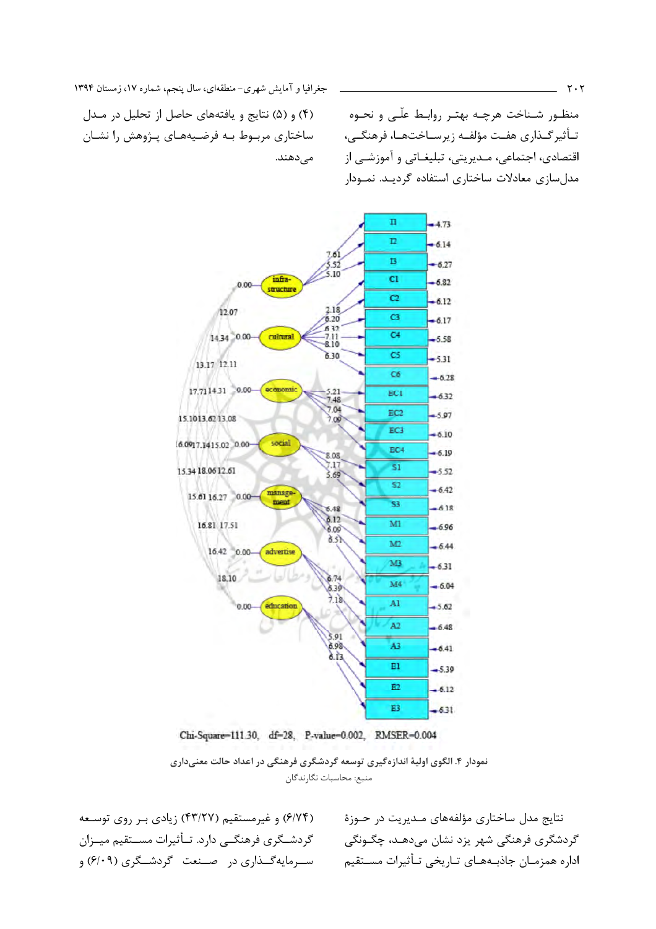جغرافیا و آمایش شهری-منطقهای، سال پنجم، شماره ١٧، زمستان ١٣٩۴

۴) و (۵) نتایج و یافتههای حاصل از تحلیل در مـدل ساختاری مربـوط بـه فرضـیههـای پـژوهش را نشـان مے دھند.

منظـور شـناخت هرچـه بهتـر روابـط علّـى و نحـوه تـأثيرگــذاري هفـت مؤلفــه زيرســاختـهــا، فرهنگــي، اقتصادي، اجتماعي، مـديريتي، تبليغـاتي و آموزشـي از مدل سازی معادلات ساختاری استفاده گردیـد. نمـودار



Chi-Square=111.30, df=28, P-value=0.002, RMSER=0.004

نمودار ۴. الگوی اولیهٔ اندازهگیری توسعه گردشگری فرهنگی در اعداد حالت معنیداری منبع: محاسبات نگارندگان

(۶/۷۴) و غیرمستقیم (۴۳/۲۷) زیادی بـر روی توسـعه گردشــگري فرهنگــي دارد. تــأثيرات مســتقيم ميــزان سـرمايهگــذاري در صــنعت گردشــگري (۶/۰۹) و

نتایج مدل ساختاری مؤلفههای مـدیریت در حـوزهٔ گردشگری فرهنگی شهر یزد نشان میدهـد، چگـونگی اداره همزمـان جاذبــههــاي تــاريخي تــأثيرات مســتقيم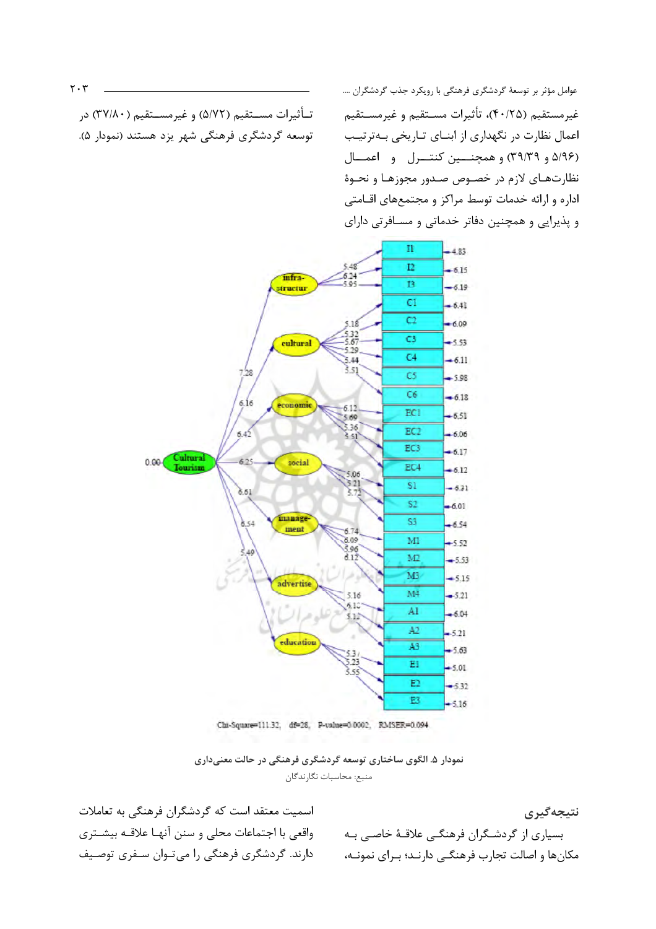تـأثيرات مســتقيم (٥/٧٢) و غيرمســتقيم (٣٧/٨٠) در

توسعه گردشگری فرهنگی شهر یزد هستند (نمودار ۵).

عوامل مؤثر بر توسعهٔ گردشگری فرهنگی با رویکرد جذب گردشگران .... غیرمستقیم (۴۰/۲۵)، تأثیرات مسـتقیم و غیرمسـتقیم اعمال نظارت در نگهداری از ابنــای تــاریخی بــهترتیــب (۵/۹۶ و ۳۹/۳۹) و همچنسین کنتسرل و اعمسال نظارتهای لازم در خصوص صدور مجوزها و نحوهٔ اداره و ارائه خدمات توسط مراکز و مجتمعهای اقـامتی و پذیرایی و همچنین دفاتر خدماتی و مسـافرتی دارای



Chi-Square=111.32, df=28, P-value=0.0002, RMSER=0.094

نمودار ۵. الگوی ساختاری توسعه گردشگری فرهنگی در حالت معنیداری منبع: محاسبات نگارندگان

اسمیت معتقد است که گردشگران فرهنگی به تعاملات واقعی با اجتماعات محلی و سنن آنهـا علاقــه بیشــتری دارند. گردشگری فرهنگی را میتوان سـفری توصـیف

نتيجەگېرى بسیاری از گردشـگران فرهنگـی علاقـهٔ خاصـی بـه مکانها و اصالت تجارب فرهنگـی دارنــد؛ بـرای نمونــه،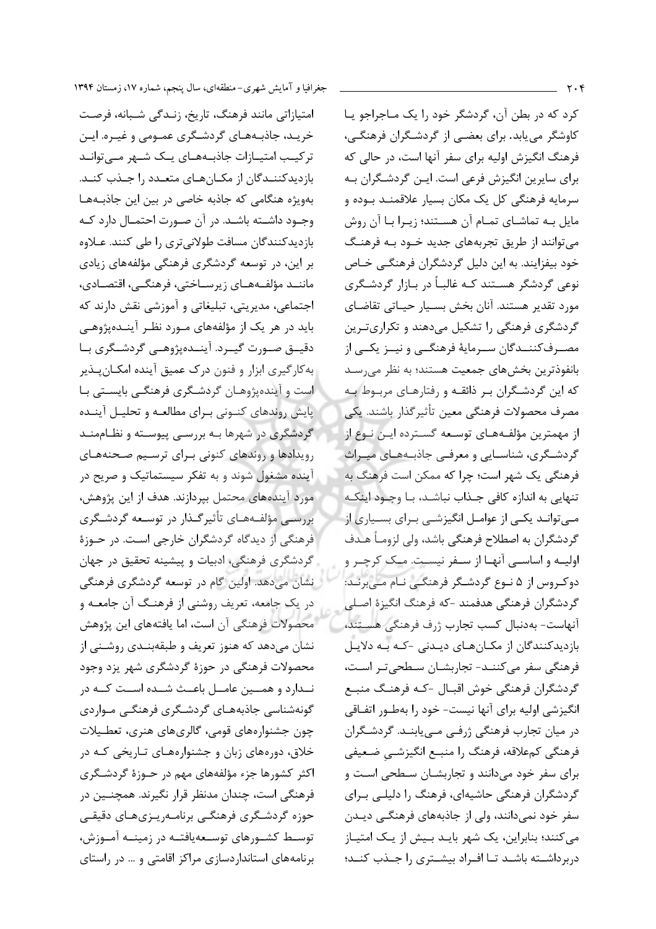امتیازاتی مانند فرهنگ، تاریخ، زنـدگی شـبانه، فرصـت خریـد، جاذبـههـای گردشـگری عمـومی و غیـره. ایـن ترکیب امتیـازات جاذبـههـای یـک شـهر مـیتوانـد بازدیدکنندگان از مکـانهـای متعـدد را جـذب کنـد. بهویژه هنگامی که جاذبه خاصی در بین این جاذبـههـا وجـود داشــته باشــد. در آن صـورت احتمــال دارد كــه بازدیدکنندگان مسافت طولانیتری را طی کنند. عـلاوه بر این، در توسعه گردشگری فرهنگی مؤلفههای زیادی ماننــد مؤلفــههــاي زيرســاختي، فرهنگــي، اقتصــادي، اجتماعي، مديريتي، تبليغاتي و آموزشي نقش دارند كه باید در هر یک از مؤلفههای مــورد نظــر آینــدهیژوهــی دقيــق صــورت گيــرد. آينــدەپژوهــي گردشــگري بــا به کارگیری ابزار و فنون درک عمیق آینده امکـان بـذیر است و آیندهپژوهـان گردشـگرى فرهنگـى بايسـتى بـا .<br>پایش روندهای کنـونی بـرای مطالعـه و تحلیـل آینـده گردشگری در شهرها بـه بررسـی پیوسـته و نظـاممنـد رویدادها و روندهای کنونی برای ترسیم صحنههای آینده مشغول شوند و به تفکر سیستماتیک و صریح در مورد آیندههای محتمل بپردازند. هدف از این پژوهش، بررسی مؤلفههای تأثیرگذار در توسعه گردشگری فرهنگی از دیدگاه گردشگران خارجی است. در حـوزهٔ گردشگری فرهنگی، ادبیات و پیشینه تحقیق در جهان نشان میدهد. اولین گام در توسعه گردشگری فرهنگی در یک جامعه، تعریف روشنی از فرهنگ آن جامعـه و محصولات فرهنگی آن است، اما یافتههای این پژوهش نشان میدهد که هنوز تعریف و طبقهبنـدی روشـنی از محصولات فرهنگی در حوزهٔ گردشگری شهر یزد وجود نـدارد و همــين عامــل باعـث شــده اســت كــه در گونەشناسى جاذبەھـاي گردشـگرى فرهنگـى مـواردى چون جشنوارەهای قومی، گالریهای هنری، تعطـیلات خلاق، دورههای زبان و جشنوارههای تـاریخی کـه در اکثر کشورها جزء مؤلفههای مهم در حــوزهٔ گردشــگری فرهنگی است، چندان مدنظر قرار نگیرند. همچنــین در حوزه گردشگری فرهنگے برنامـه٫يـزيھـاي دقيقـي توسـط کشـورهای توسـعهیافتـه در زمینــه آمــوزش، برنامههای استانداردسازی مراکز اقامتی و … در راستای

جغرافیا و آمایش شهری-منطقهای، سال پنجم، شماره ۱۷، زمستان ۱۳۹۴

کرد که در بطن آن، گردشگر خود را یک مـاجراجو یـا کاوشگر می یابد. برای بعضی از گردشگران فرهنگی، فرهنگ انگیزش اولیه برای سفر آنها است، در حالی که برای سایرین انگیزش فرعی است. ایـن گردشـگران بـه سرمايه فرهنگي کل يک مکان بسيار علاقمنــد بــوده و مایل بـه تماشـای تمـام آن هسـتند؛ زیـرا بـا آن روش میتوانند از طریق تجربههای جدید خــود بــه فرهنــگ خود بیفزایند. به این دلیل گردشگران فرهنگـی خـاص نوعی گردشگر هسـتند کـه غالبـاً در بـازار گردشـگری مورد تقدير هستند. آنان بخش بسـيار حيـاتي تقاضـاي گردشگری فرهنگی را تشکیل میدهند و تکراریترین مصـرفکننــدگان ســرمايهٔ فرهنگــي و نيــز يکــي از بانفوذترين بخشهاى جمعيت هستند؛ به نظر مى سد که این گردشگران بر ذائقه و رفتارهای مربوط به مصرف محصولات فرهنگي معين تأثير گذار باشند. يكي از مهمترین مؤلف1های توسعه گسترده ایـن نـوع از گردشگری، شناسـایی و معرفـی جاذبـههـای میـراث فرهنگی یک شهر است؛ چرا که ممکن است فرهنگ به تنهایی به اندازه کافی جـذاب نباشـد، بـا وجـود اینکـه مےتوانـد یکـی از عوامـل انگیزشـی بـرای بسـیاری از گردشگران به اصطلاح فرهنگی باشد، ولی لزومـاً هـدف اولیــه و اساســی آنهــا از ســغر نیســت. مــک کرچــر و دوکروس از ۵ نـوع گردشـگر فرهنگـی نـام مـی,برنـد: گردشگران فرهنگی هدفمند -که فرهنگ انگیزهٔ اصـلی آنهاست- بەدنبال كسب تجارب ژرف فرهنگى هسـتند، بازديدکنندگان از مکـانهـای ديـدنی -کـه بـه دلايـل فرهنگی سفر میکننـد- تجاربشـان سـطحیتـر اسـت، گردشگران فرهنگی خوش اقبـال -کـه فرهنـگ منبــع انگیزشی اولیه برای آنها نیست- خود را بهطـور اتفـاقی در میان تجارب فرهنگی ژرفی می یابنـد. گردشـگران فرهنگی کمعلاقه، فرهنگ را منبـع انگیزشــی ضـعیفی برای سفر خود میدانند و تجاربشـان سـطحی اسـت و گردشگران فرهنگی حاشیهای، فرهنگ را دلیلـی بـرای سفر خود نمے دانند، ولی از جاذبههای فرهنگے ،دیــدن می کنند؛ بنابراین، یک شهر بایـد بـیش از یـک امتیـاز دربرداشـته باشـد تـا افـراد بيشـترى را جـذب كنـد؛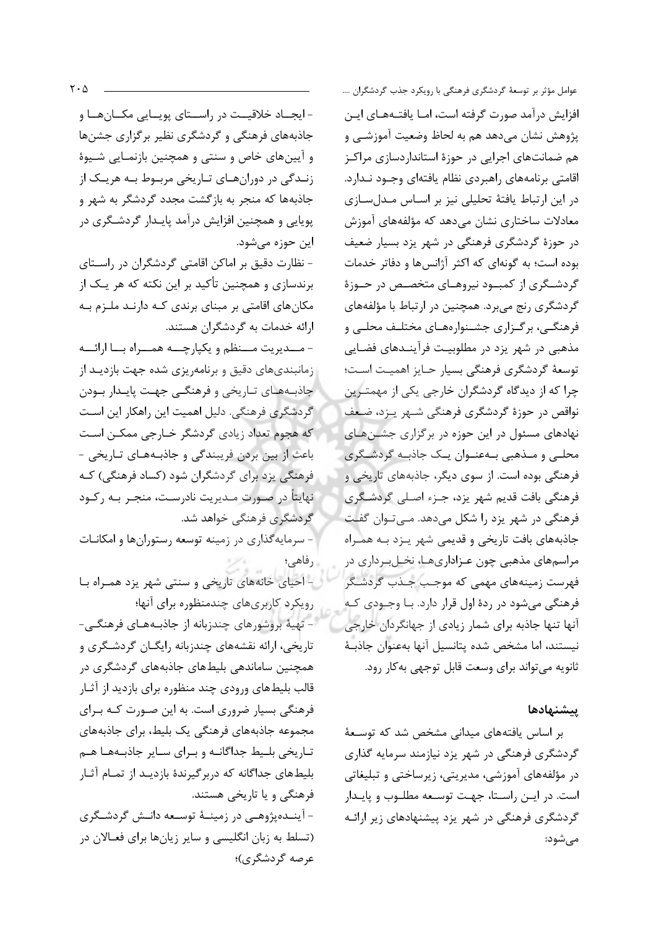- ایجــاد خلاقیــت در راســتای پویــایی مکــانهــا و جاذبههای فرهنگی و گردشگری نظیر برگزاری جشنها و آیینهای خاص و سنتی و همچنین بازنمـایی شـیوهٔ زنـدگی در دورانهـای تـاریخی مربـوط بـه هریـک از جاذبهها که منجر به بازگشت مجدد گردشگر به شهر و پویایی و همچنین افزایش درآمد پایـدار گردشـگری در اين حوزه مي شود.

- نظارت دقیق بر اماکن اقامتی گردشگران در راسـتای برندسازی و همچنین تأکید بر این نکته که هر یـک از مکانهای اقامتی بر مبنای برندی کـه دارنـد ملـزم بـه ارائه خدمات به گردشگران هستند.

- مــديريت مـــنظم و يكپارچـــه همـــراه بـــا ارائـــه زمانبندیهای دقیق و برنامهریزی شده جهت بازدیـد از جاذبههای تـاریخی و فرهنگـی جهـت پایـدار بـودن گردشگری فرهنگی. دلیل اهمیت این راهکار این اسـت که هجوم تعداد زیادی گردشگر خـارجی ممکـن اسـت باعث از بين بردن فريبندگي و جاذبههـاي تـاريخي -فرهنگی یزد برای گردشگران شود (کساد فرهنگی) کـه نهایتاً در صورت مـدیریت نادرسـت، منجـر بـه رکـود گردشگری فرهنگی خواهد شد.

- سرمایهگذاری در زمینه توسعه رستورانها و امکانـات رفاهی؛

- احیای خانههای تاریخی و سنتی شهر یزد همـراه بـا رویکرد کاربریهای چندمنظوره برای آنها؛ - تهیهٔ بروشورهای چندزبانه از جاذبههـای فرهنگـی-

تاریخی، ارائه نقشههای چندزبانه رایگـان گردشـگری و همچنین ساماندهی بلیطهای جاذبههای گردشگری در قالب بلیطهای ورودی چند منظوره برای بازدید از آثـار فرهنگی بسیار ضروری است. به این صـورت کـه بـرای مجموعه جاذبههای فرهنگی یک بلیط، برای جاذبههای تاریخی بلیط جداگانـه و بـرای سـایر جاذبـههـا هـم بلیطهای جداگانه که دربر گیرندهٔ بازدیـد از تمـام آثـار فرهنگی و یا تاریخی هستند. - آينــدەيژوهــي در زمينــهٔ توسـعه دانــش گردشــگرى (تسلط به زبان انگلیسی و سایر زیانها برای فعـالان در عرصه گردشگری)؛

عوامل مؤثر بر توسعهٔ گردشگری فرهنگی با رویکرد جذب گردشگران …. افزایش درآمد صورت گرفته است، امــا یافتــههــای ایــن پژوهش نشان میدهد هم به لحاظ وضعیت آموزشـی و هم ضمانتهای اجرایی در حوزهٔ استانداردسازی مراکـز اقامتی برنامههای راهبردی نظام یافتهای وجـود نـدارد. در این ارتباط یافتهٔ تحلیلی نیز بر اسـاس مـدلسـازی معادلات ساختاری نشان میدهد که مؤلفههای آموزش در حوزهٔ گردشگری فرهنگی در شهر یزد بسیار ضعیف بوده است؛ به گونهای که اکثر آژانس ها و دفاتر خدمات گردشـگری از کمبـود نیروهـای متخصـص در حـوزهٔ گردشگری رنج می برد. همچنین در ارتباط با مؤلفههای فرهنگــی، برگــزاری جشــنوارههــای مختلــف محلــی و مذهبی در شهر یزد در مطلوبیت فرآینـدهای فضـایی توسعهٔ گردشگری فرهنگی بسیار حـایز اهمیـت اسـت؛ چرا که از دیدگاه گردشگران خارجی یکی از مهمترین نواقص در حوزهٔ گردشگری فرهنگی شـهر پـزد، ضـعف نهادهای مسئول در این حوزه در برگزاری جشـنهـای محلبي و مـذهبي بـهعنـوان يـک جاذبـه گردشـگري فرهنگی بوده است. از سوی دیگر، جاذبههای تاریخی و فرهنگي بافت قديم شهر يزد، جـزء اصـلي گردشـگري فرهنگی در شهر یزد را شکل میدهد. مـی تـوان گفـت جاذبههای بافت تاریخی و قدیمی شهر پـزد بـه همـراه مراسمهای مذهبی چون عـزاداریهـا، نخـلبـرداری در فهرست زمینههای مهمی که موجب جـذب گردشـگر فرهنگی میشود در ردهٔ اول قرار دارد. بـا وجـودی کـه آنها تنها جاذبه برای شمار زیادی از جهانگردان خارجی نيستند، اما مشخص شده يتانسيل آنها بهعنوان جاذبـهٔ ثانويه مي تواند براي وسعت قابل توجهي به كار رود.

## يتشنهادها

بر اساس یافتههای میدانی مشخص شد که توسیعهٔ گردشگری فرهنگی در شهر یزد نیازمند سرمایه گذاری در مؤلفههای آموزشی، مدیریتی، زیرساختی و تبلیغاتی است. در ایـن راسـتا، جهـت توسـعه مطلـوب و پایـدار گردشگری فرهنگی در شهر یزد پیشنهادهای زیر ارائـه مے شود: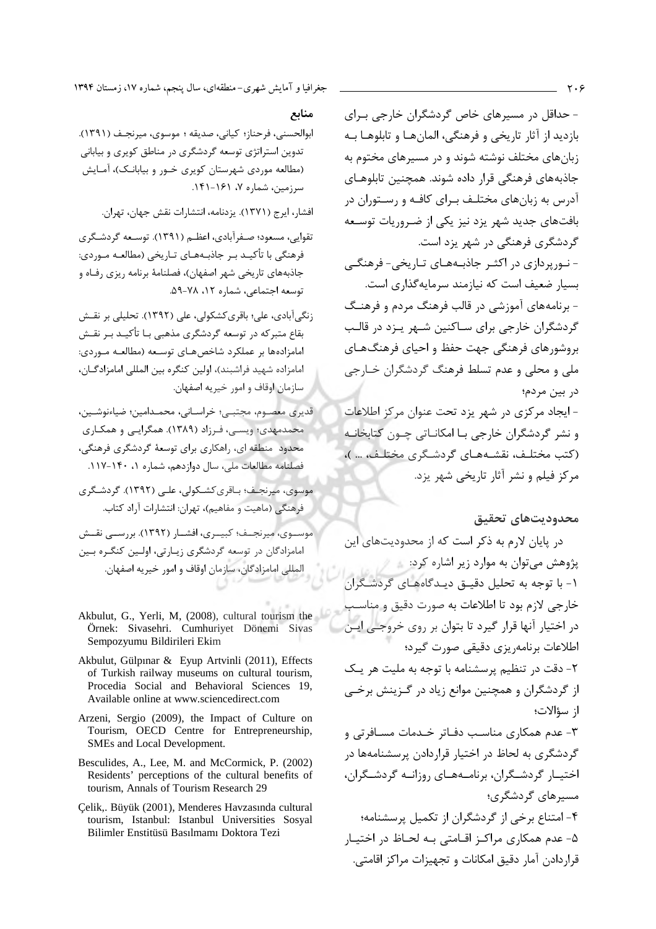- حداقل در مسیرهای خاص گردشگران خارجی بـرای بازديد از آثار تاريخي و فرهنگي، المانهـا و تابلوهـا بـه زبانهای مختلف نوشته شوند و در مسیرهای مختوم به جاذبههای فرهنگی قرار داده شوند. همچنین تابلوهـای آدرس به زبانهای مختلـف بـرای کافـه و رســتوران در بافتهای جدید شهر یزد نیز یکی از ضـروریات توسـعه گردشگری فرهنگی در شهر یزد است. - نــوریردازی در اکثـر جاذبــههــای تــاریخی- فرهنگــی بسیار ضعیف است که نیازمند سرمایهگذاری است. - برنامههای آموزشی در قالب فرهنگ مردم و فرهنــگ گردشگران خارجی برای سـاکنین شـهر پـزد در قالـب بروشورهای فرهنگی جهت حفظ و احیای فرهنگهـای ملي و محلي و عدم تسلط فرهنگ گردشگران خبارجي در بين مردم؛ - ایجاد مرکزی در شهر یزد تحت عنوان مرکز اطلاعات و نشر گردشگران خارجی بـا امکانـاتی چـون کتابخانـه (كتب مختلـف، نقشـههـای گردشـگری مختلـف، … )،

مرکز فیلم و نشر آثار تاریخی شهر یزد.

#### محدوديتهاى تحقيق

در پایان لارم به ذکر است که از محدودیتهای این یژوهش مے توان به موارد زیر اشاره کرد: ۱- با توجه به تحلیل دقیـق دیـدگاههـای گردشـگران خارجي لازم بود تا اطلاعات به صورت دقيق و مناسب در اختیار آنها قرار گیرد تا بتوان بر روی خروجی ایـن اطلاعات برنامهريزي دقيقي صورت گيرد؛ ٢- دقت در تنظيم پرسشنامه با توجه به مليت هر يك از گردشگران و همچنین موانع زیاد در گـزینش برخـی از سؤالات؛ ۳- عدم همکاری مناسب دفـاتر خـدمات مسـافرتی و گردشگری به لحاظ در اختیار قراردادن پرسشنامهها در اختیـار گردشـگران، برنامـههـای روزانـه گردشـگران، مسیر های گردشگری؛ ۴- امتناع برخی از گردشگران از تکمیل پرسشنامه؛ ۵- عدم همکاری مراکـز اقــامتی بــه لحــاظ در اختيــار قراردادن آمار دقیق امکانات و تجهیزات مراکز اقامتی.

#### منابع

ابوالحسني، فرحناز؛ كياني، صديقه ؛ موسوى، ميرنجـف (١٣٩١). تدوين استراتژي توسعه گردشگري در مناطق کويري و بياباني (مطالعه موردی شهرستان کویری خـور و بیابانـک)، آمـایش سرزمین، شماره ۷، ۱۶۱-۱۴۱.

افشار، ایرج (١٣٧١). یزدنامه، انتشارات نقش جهان، تهران.

۔<br>تقوابی، مسعود؛ صـفرآبادی، اعظـم (۱۳۹۱). توسـعه گردشـگری فرهنگی با تأکیـد بـر جاذبـههـای تـاریخی (مطالعـه مـوردی: جاذبههای تاریخی شهر اصفهان)، فصلنامهٔ برنامه ریزی رفـاه و توسعه اجتماعي، شماره ١٢، ٧٨-٥٩.

زنگیآبادی، علی؛ باقری کشکولی، علی (۱۳۹۲). تحلیلی بر نقـش بقاع متبرکه در توسعه گردشگری مذهبی بـا تأکیــد بـر نقــش امامزادهها بر عملکرد شاخص هـای توسـعه (مطالعـه مـوردی: امامزاده شهيد فراشبند)، اولين كنگره بين المللي امامزادگــان، سازمان اوقاف و امور خيريه اصفهان.

قديري معصوم، مجتبي؛ خراسـاني، محمـدامين؛ ضياءنوشـين، محمدمهدی؛ ویسے، فـرزاد (۱۳۸۹). همگرایـی و همکـاری محدود ً منطقه ای، راهکاری برای توسعهٔ گردشگری فرهنگی، فصلنامه مطالعات ملي، سال دوازدهم، شماره ٠، ١۴٠-١١٧.

موسوی، میرنجـف؛ بـاقری کشـکولی، علـی (۱۳۹۲). گردشـگری فرهنگی (ماهیت و مفاهیم)، تهران: انتشارات آراد کتاب. موســوي، ميرنجــف؛ كبيــري، افشــار (١٣٩٢). بررســي نقــش امامزادگان در توسعه گردشگری زیارتی، اولین کنگره بین

المللي امامزادگان، سازمان اوقاف و امور خيريه اصفهان.

- Akbulut, G., Yerli, M. (2008), cultural tourism the Örnek: Sivasehri. Cumhuriyet Dönemi Sivas Sempozyumu Bildirileri Ekim
- Akbulut, Gülpınar & Eyup Artvinli (2011), Effects of Turkish railway museums on cultural tourism, Procedia Social and Behavioral Sciences 19, Available online at www.sciencedirect.com
- Arzeni, Sergio (2009), the Impact of Culture on Tourism, OECD Centre for Entrepreneurship, SMEs and Local Development.
- Besculides, A., Lee, M. and McCormick, P. (2002) Residents' perceptions of the cultural benefits of tourism, Annals of Tourism Research 29
- Çelik,. Büyük (2001), Menderes Havzasında cultural tourism, Istanbul: Istanbul Universities Sosyal Bilimler Enstitüsü Basılmamı Doktora Tezi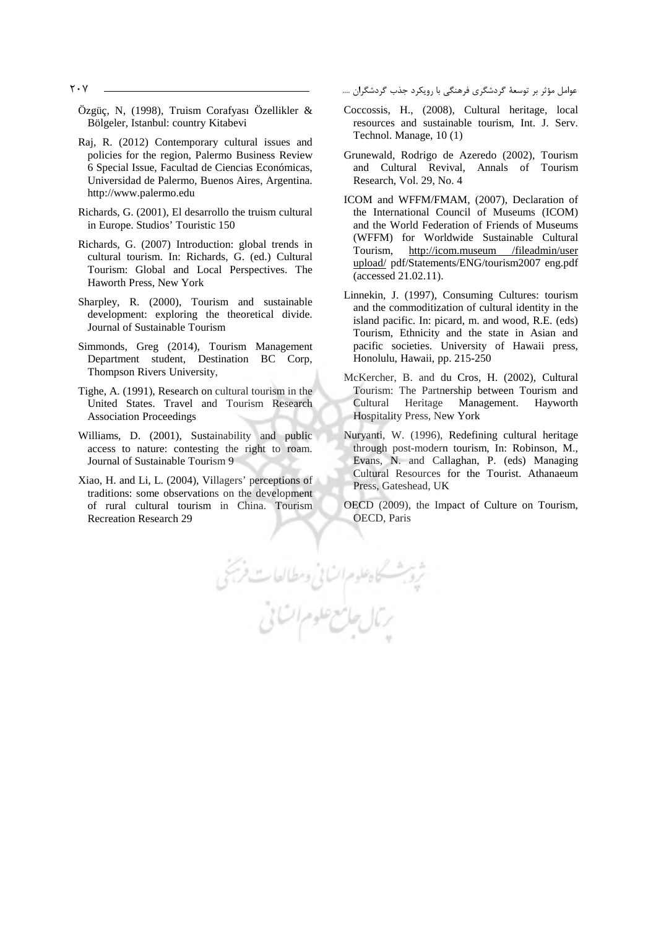- Özgüç, N, (1998), Truism Corafyası Özellikler & Bölgeler, Istanbul: country Kitabevi
- Raj, R. (2012) Contemporary cultural issues and policies for the region, Palermo Business Review 6 Special Issue, Facultad de Ciencias Económicas, Universidad de Palermo, Buenos Aires, Argentina. http://www.palermo.edu
- Richards, G. (2001), El desarrollo the truism cultural in Europe. Studios' Touristic 150
- Richards, G. (2007) Introduction: global trends in cultural tourism. In: Richards, G. (ed.) Cultural Tourism: Global and Local Perspectives. The Haworth Press, New York
- Sharpley, R. (2000), Tourism and sustainable development: exploring the theoretical divide. Journal of Sustainable Tourism
- Simmonds, Greg (2014), Tourism Management Department student, Destination BC Corp, Thompson Rivers University,
- Tighe, A. (1991), Research on cultural tourism in the United States. Travel and Tourism Research Association Proceedings
- Williams, D. (2001), Sustainability and public access to nature: contesting the right to roam. Journal of Sustainable Tourism 9
- Xiao, H. and Li, L. (2004), Villagers' perceptions of traditions: some observations on the development of rural cultural tourism in China. Tourism Recreation Research 29

عوامل مؤثر بر توسعهٔ گردشگری فرهنگی با رویکرد جذب گردشگرا

- Coccossis, H., (2008), Cultural heritage, local resources and sustainable tourism, Int. J. Serv. Technol. Manage, 10 (1)
- Grunewald, Rodrigo de Azeredo (2002), Tourism and Cultural Revival, Annals of Tourism Research, Vol. 29, No. 4
- ICOM and WFFM/FMAM, (2007), Declaration of the International Council of Museums (ICOM) and the World Federation of Friends of Museums (WFFM) for Worldwide Sustainable Cultural Tourism, http://icom.museum /fileadmin/user upload/ pdf/Statements/ENG/tourism2007 eng.pdf (accessed 21.02.11).
- Linnekin, J. (1997), Consuming Cultures: tourism and the commoditization of cultural identity in the island pacific. In: picard, m. and wood, R.E. (eds) Tourism, Ethnicity and the state in Asian and pacific societies. University of Hawaii press, Honolulu, Hawaii, pp. 215-250
- McKercher, B. and du Cros, H. (2002), Cultural Tourism: The Partnership between Tourism and Cultural Heritage Management. Hayworth Hospitality Press, New York
- Nuryanti, W. (1996), Redefining cultural heritage through post-modern tourism, In: Robinson, M., Evans, N. and Callaghan, P. (eds) Managing Cultural Resources for the Tourist. Athanaeum Press, Gateshead, UK
- OECD (2009), the Impact of Culture on Tourism, OECD, Paris

یکاه علوم انسانی و مطالعات فرسیخی<br>بر بال جامع علوم اتسانی

207 .... -